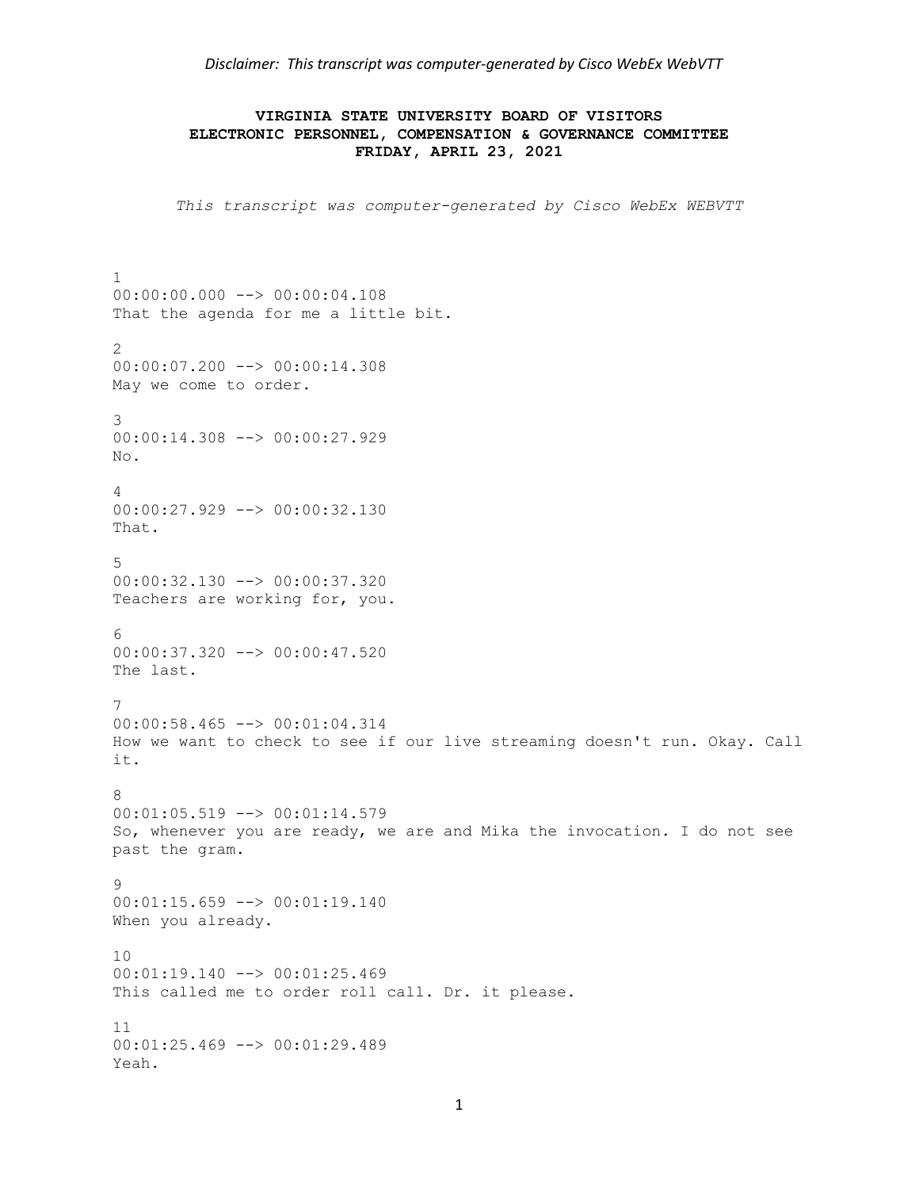*Disclaimer: This transcript was computer-generated by Cisco WebEx WebVTT*

## **VIRGINIA STATE UNIVERSITY BOARD OF VISITORS ELECTRONIC PERSONNEL, COMPENSATION & GOVERNANCE COMMITTEE FRIDAY, APRIL 23, 2021**

*This transcript was computer-generated by Cisco WebEx WEBVTT*

1 00:00:00.000 --> 00:00:04.108 That the agenda for me a little bit. 2 00:00:07.200 --> 00:00:14.308 May we come to order. 3 00:00:14.308 --> 00:00:27.929 No. 4 00:00:27.929 --> 00:00:32.130 That. 5 00:00:32.130 --> 00:00:37.320 Teachers are working for, you. 6 00:00:37.320 --> 00:00:47.520 The last. 7 00:00:58.465 --> 00:01:04.314 How we want to check to see if our live streaming doesn't run. Okay. Call it. 8 00:01:05.519 --> 00:01:14.579 So, whenever you are ready, we are and Mika the invocation. I do not see past the gram. 9  $00:01:15.659$  -->  $00:01:19.140$ When you already. 10 00:01:19.140 --> 00:01:25.469 This called me to order roll call. Dr. it please. 11 00:01:25.469 --> 00:01:29.489 Yeah.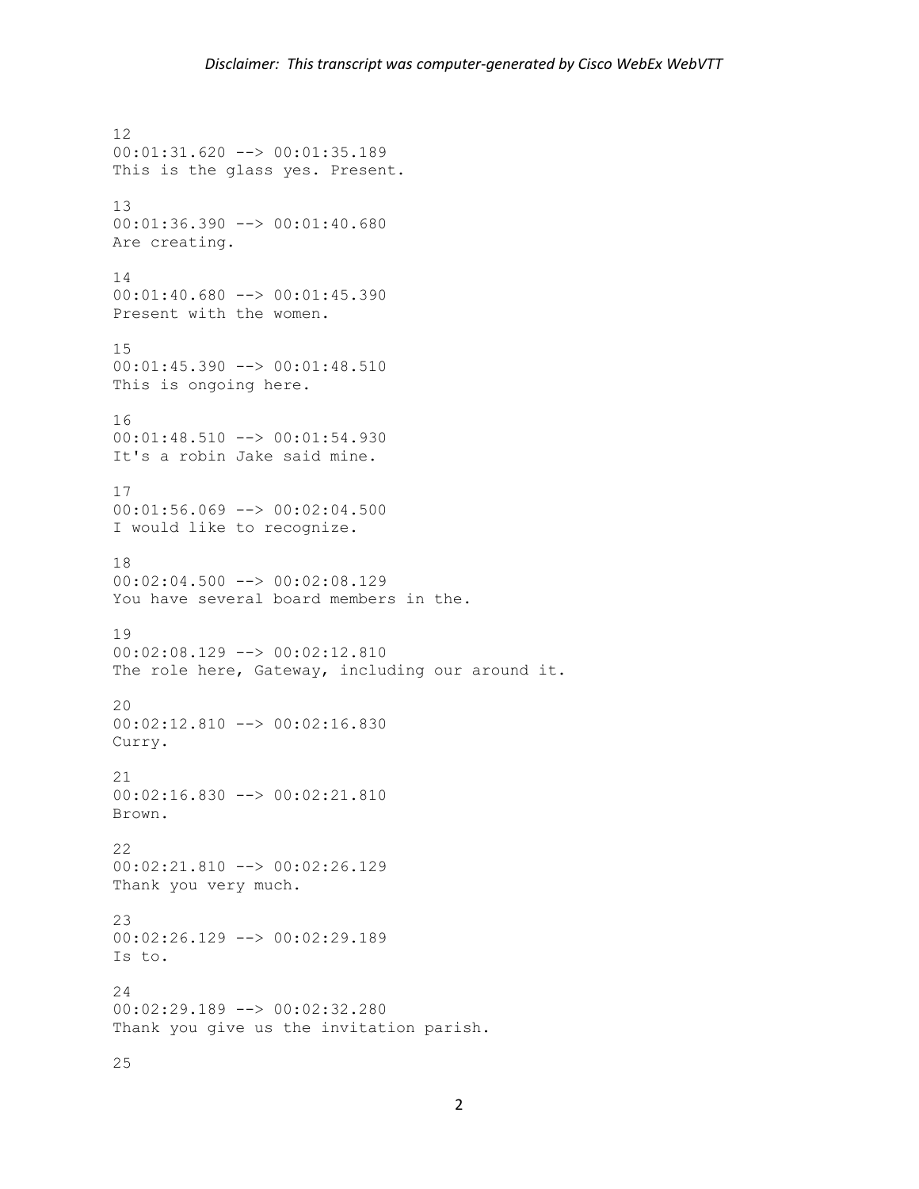12 00:01:31.620 --> 00:01:35.189 This is the glass yes. Present. 13 00:01:36.390 --> 00:01:40.680 Are creating. 14 00:01:40.680 --> 00:01:45.390 Present with the women. 15 00:01:45.390 --> 00:01:48.510 This is ongoing here. 16 00:01:48.510 --> 00:01:54.930 It's a robin Jake said mine. 17 00:01:56.069 --> 00:02:04.500 I would like to recognize. 18 00:02:04.500 --> 00:02:08.129 You have several board members in the. 19 00:02:08.129 --> 00:02:12.810 The role here, Gateway, including our around it.  $20$ 00:02:12.810 --> 00:02:16.830 Curry. 21 00:02:16.830 --> 00:02:21.810 Brown. 22 00:02:21.810 --> 00:02:26.129 Thank you very much. 23 00:02:26.129 --> 00:02:29.189 Is to. 24 00:02:29.189 --> 00:02:32.280 Thank you give us the invitation parish.

25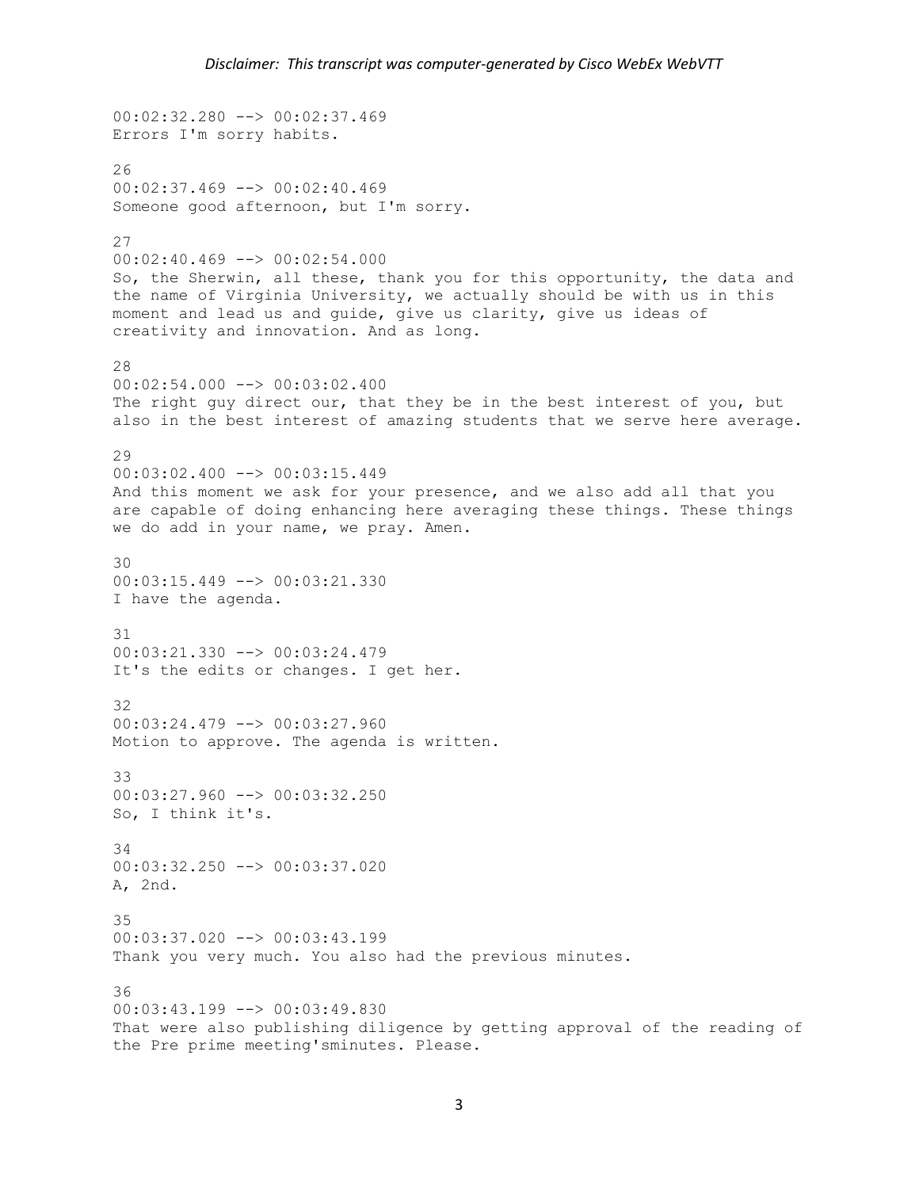```
00:02:32.280 --> 00:02:37.469
Errors I'm sorry habits.
26
00:02:37.469 --> 00:02:40.469
Someone good afternoon, but I'm sorry.
27
00:02:40.469 --> 00:02:54.000So, the Sherwin, all these, thank you for this opportunity, the data and 
the name of Virginia University, we actually should be with us in this
moment and lead us and guide, give us clarity, give us ideas of 
creativity and innovation. And as long.
28
00:02:54.000 \rightarrow 00:03:02.400The right guy direct our, that they be in the best interest of you, but 
also in the best interest of amazing students that we serve here average.
29
00:03:02.400 --> 00:03:15.449
And this moment we ask for your presence, and we also add all that you 
are capable of doing enhancing here averaging these things. These things 
we do add in your name, we pray. Amen.
30
00:03:15.449 --> 00:03:21.330I have the agenda.
31
00:03:21.330 --> 00:03:24.479
It's the edits or changes. I get her.
32
00:03:24.479 --> 00:03:27.960
Motion to approve. The agenda is written.
33
00:03:27.960 --> 00:03:32.250
So, I think it's.
34
00:03:32.250 --> 00:03:37.020
A, 2nd.
35
00:03:37.020 --> 00:03:43.199
Thank you very much. You also had the previous minutes.
36
00:03:43.199 --> 00:03:49.830
That were also publishing diligence by getting approval of the reading of 
the Pre prime meeting'sminutes. Please.
```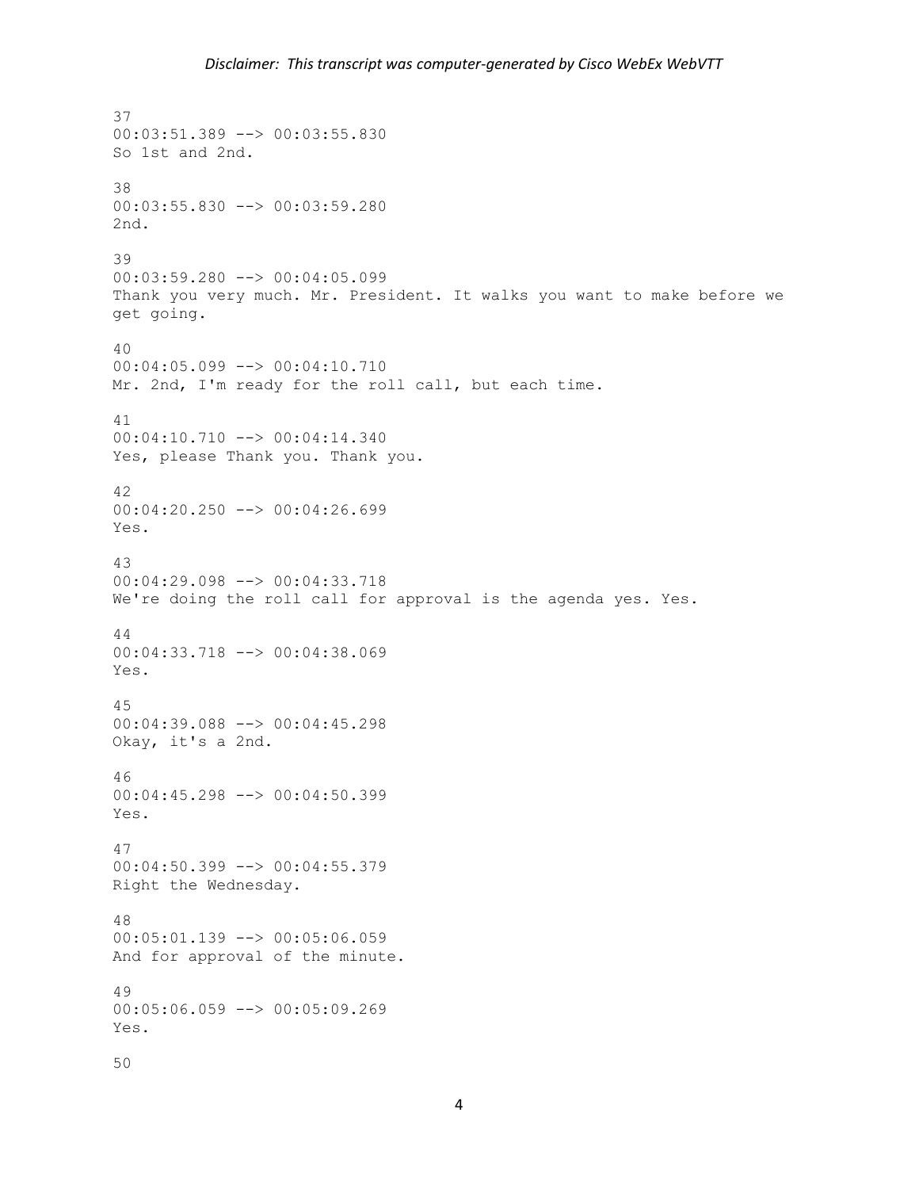37 00:03:51.389 --> 00:03:55.830 So 1st and 2nd. 38 00:03:55.830 --> 00:03:59.280 2nd. 39 00:03:59.280 --> 00:04:05.099 Thank you very much. Mr. President. It walks you want to make before we get going. 40 00:04:05.099 --> 00:04:10.710 Mr. 2nd, I'm ready for the roll call, but each time. 41 00:04:10.710 --> 00:04:14.340 Yes, please Thank you. Thank you. 42 00:04:20.250 --> 00:04:26.699 Yes. 43 00:04:29.098 --> 00:04:33.718 We're doing the roll call for approval is the agenda yes. Yes. 44 00:04:33.718 --> 00:04:38.069 Yes. 45 00:04:39.088 --> 00:04:45.298 Okay, it's a 2nd. 46 00:04:45.298 --> 00:04:50.399 Yes. 47 00:04:50.399 --> 00:04:55.379 Right the Wednesday. 48 00:05:01.139 --> 00:05:06.059 And for approval of the minute. 49 00:05:06.059 --> 00:05:09.269 Yes. 50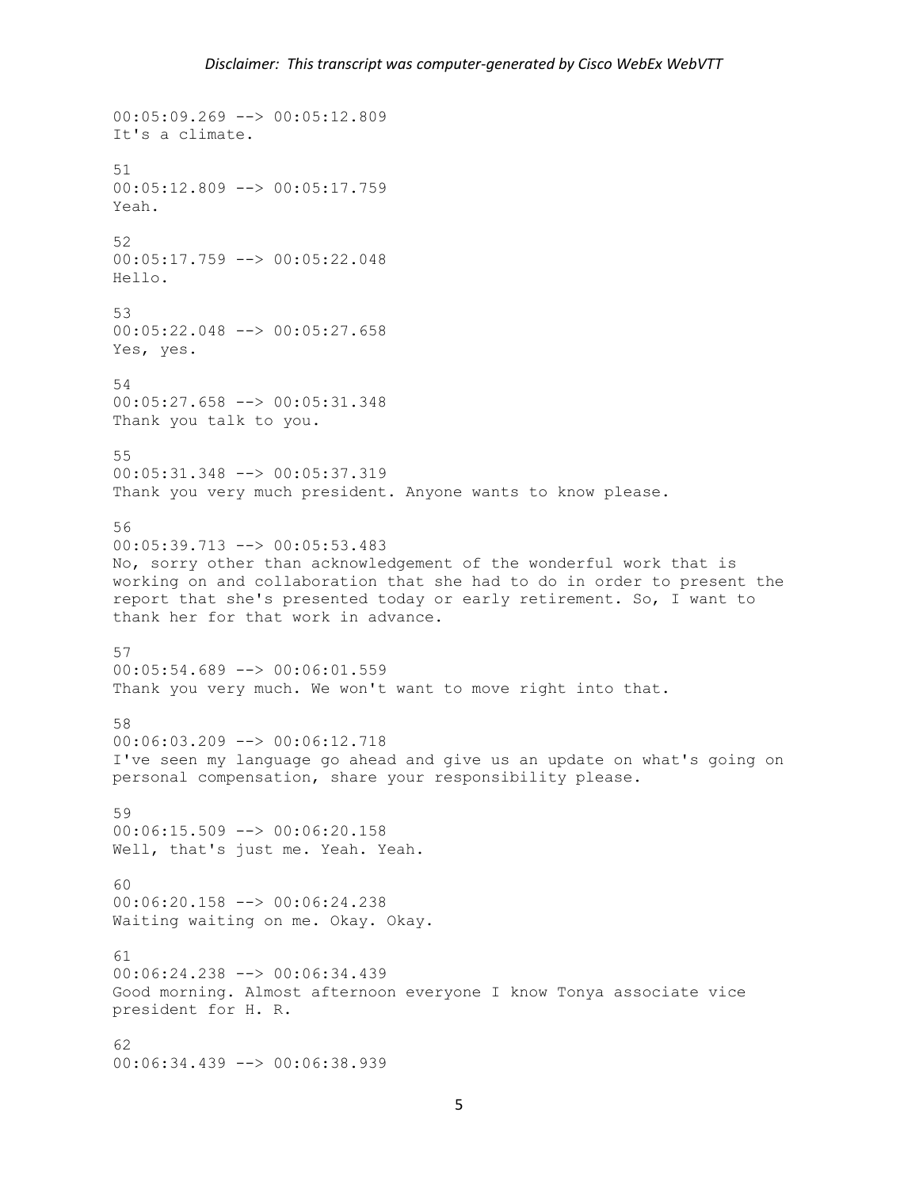$00:05:09.269$  -->  $00:05:12.809$ It's a climate. 51  $00:05:12.809$  -->  $00:05:17.759$ Yeah. 52 00:05:17.759 --> 00:05:22.048 Hello. 53 00:05:22.048 --> 00:05:27.658 Yes, yes. 54 00:05:27.658 --> 00:05:31.348 Thank you talk to you. 55 00:05:31.348 --> 00:05:37.319 Thank you very much president. Anyone wants to know please. 56 00:05:39.713 --> 00:05:53.483 No, sorry other than acknowledgement of the wonderful work that is working on and collaboration that she had to do in order to present the report that she's presented today or early retirement. So, I want to thank her for that work in advance. 57 00:05:54.689 --> 00:06:01.559 Thank you very much. We won't want to move right into that. 58 00:06:03.209 --> 00:06:12.718 I've seen my language go ahead and give us an update on what's going on personal compensation, share your responsibility please. 59 00:06:15.509 --> 00:06:20.158 Well, that's just me. Yeah. Yeah.  $60$ 00:06:20.158 --> 00:06:24.238 Waiting waiting on me. Okay. Okay. 61 00:06:24.238 --> 00:06:34.439 Good morning. Almost afternoon everyone I know Tonya associate vice president for H. R. 62 00:06:34.439 --> 00:06:38.939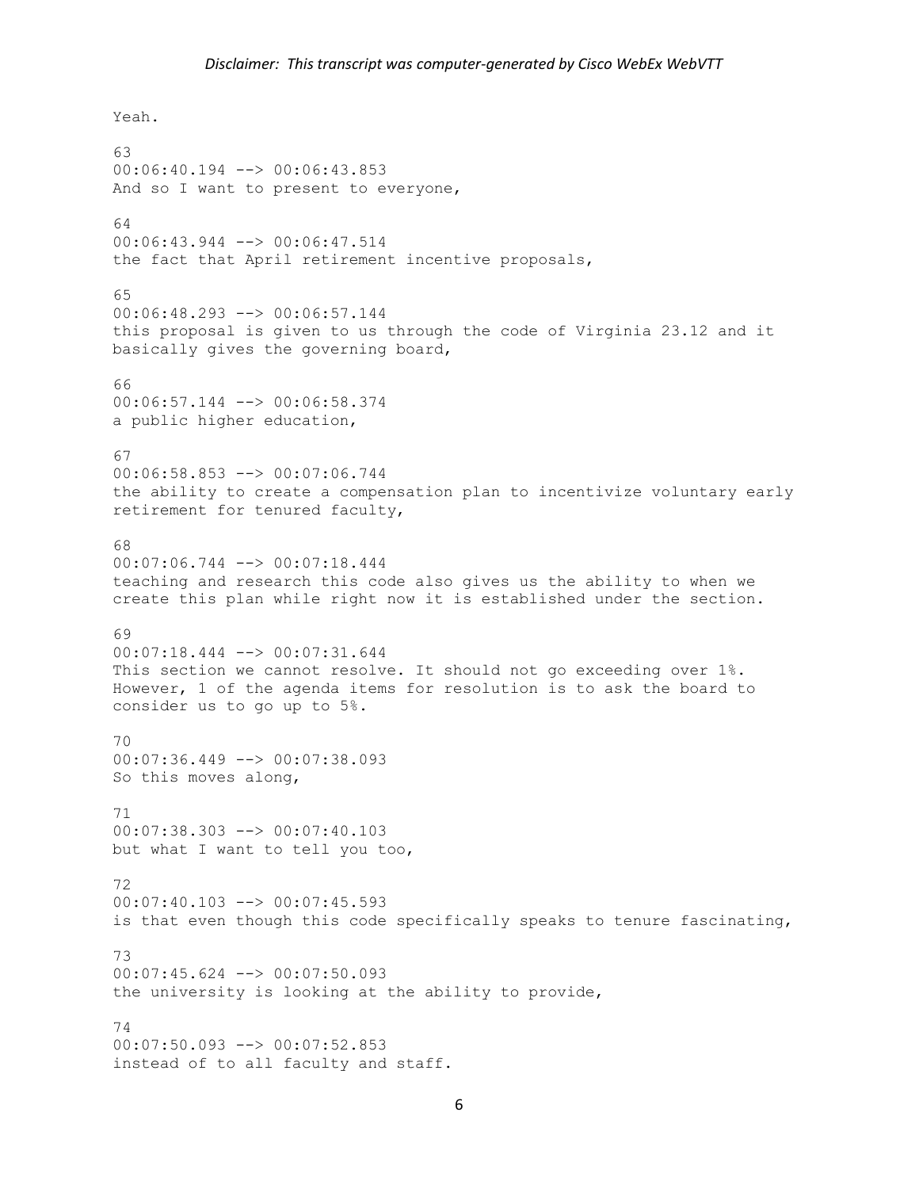Yeah. 63 00:06:40.194 --> 00:06:43.853 And so I want to present to everyone, 64 00:06:43.944 --> 00:06:47.514 the fact that April retirement incentive proposals, 65 00:06:48.293 --> 00:06:57.144 this proposal is given to us through the code of Virginia 23.12 and it basically gives the governing board, 66 00:06:57.144 --> 00:06:58.374 a public higher education, 67 00:06:58.853 --> 00:07:06.744 the ability to create a compensation plan to incentivize voluntary early retirement for tenured faculty, 68 00:07:06.744 --> 00:07:18.444 teaching and research this code also gives us the ability to when we create this plan while right now it is established under the section. 69 00:07:18.444 --> 00:07:31.644 This section we cannot resolve. It should not go exceeding over 1%. However, 1 of the agenda items for resolution is to ask the board to consider us to go up to 5%. 70 00:07:36.449 --> 00:07:38.093 So this moves along, 71 00:07:38.303 --> 00:07:40.103 but what I want to tell you too, 72  $00:07:40.103$   $\leftarrow$   $>$  00:07:45.593 is that even though this code specifically speaks to tenure fascinating, 73 00:07:45.624 --> 00:07:50.093 the university is looking at the ability to provide, 74 00:07:50.093 --> 00:07:52.853 instead of to all faculty and staff.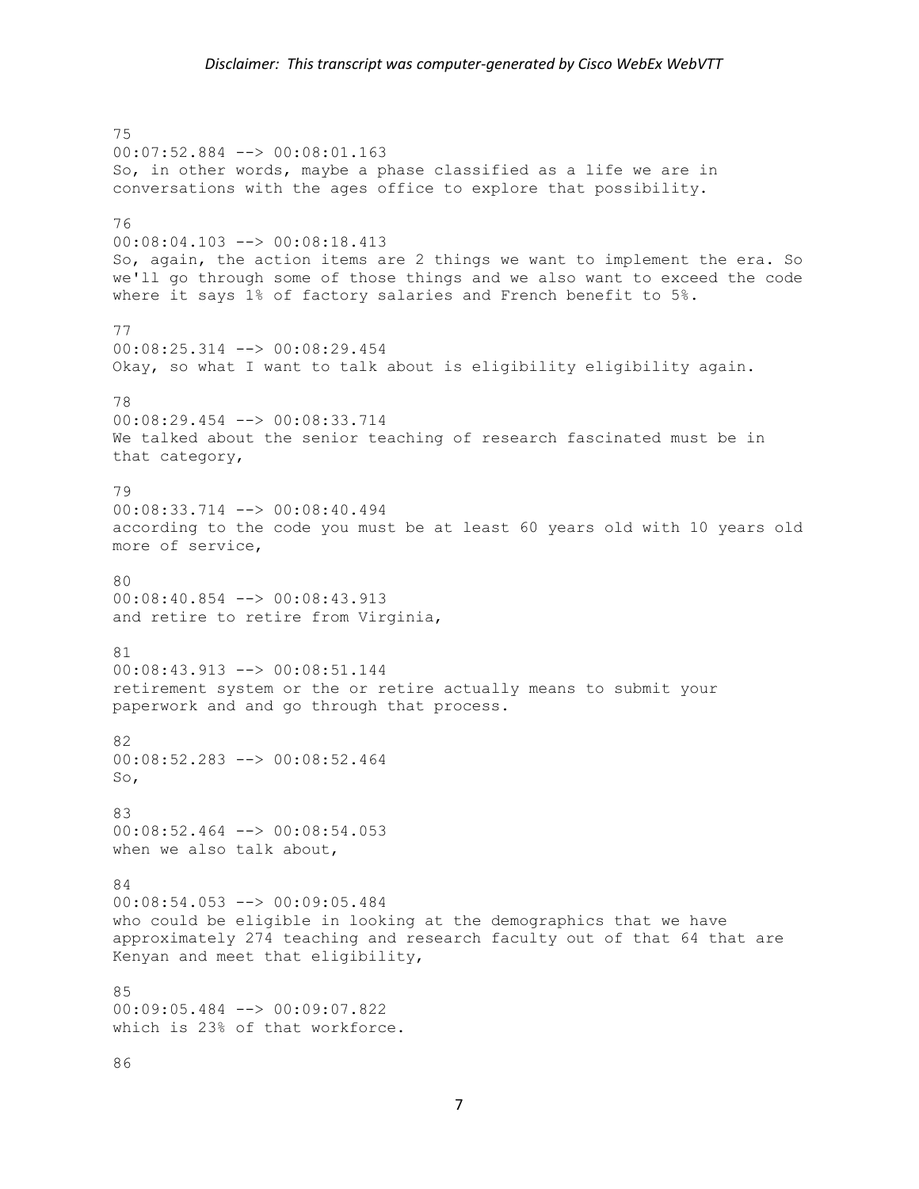75 00:07:52.884 --> 00:08:01.163 So, in other words, maybe a phase classified as a life we are in conversations with the ages office to explore that possibility. 76 00:08:04.103 --> 00:08:18.413 So, again, the action items are 2 things we want to implement the era. So we'll go through some of those things and we also want to exceed the code where it says 1% of factory salaries and French benefit to 5%. 77 00:08:25.314 --> 00:08:29.454 Okay, so what I want to talk about is eligibility eligibility again. 78 00:08:29.454 --> 00:08:33.714 We talked about the senior teaching of research fascinated must be in that category, 79 00:08:33.714 --> 00:08:40.494 according to the code you must be at least 60 years old with 10 years old more of service, 80 00:08:40.854 --> 00:08:43.913 and retire to retire from Virginia, 81 00:08:43.913 --> 00:08:51.144 retirement system or the or retire actually means to submit your paperwork and and go through that process. 82 00:08:52.283 --> 00:08:52.464 So, 83 00:08:52.464 --> 00:08:54.053 when we also talk about, 84 00:08:54.053 --> 00:09:05.484 who could be eligible in looking at the demographics that we have approximately 274 teaching and research faculty out of that 64 that are Kenyan and meet that eligibility, 85 00:09:05.484 --> 00:09:07.822 which is 23% of that workforce.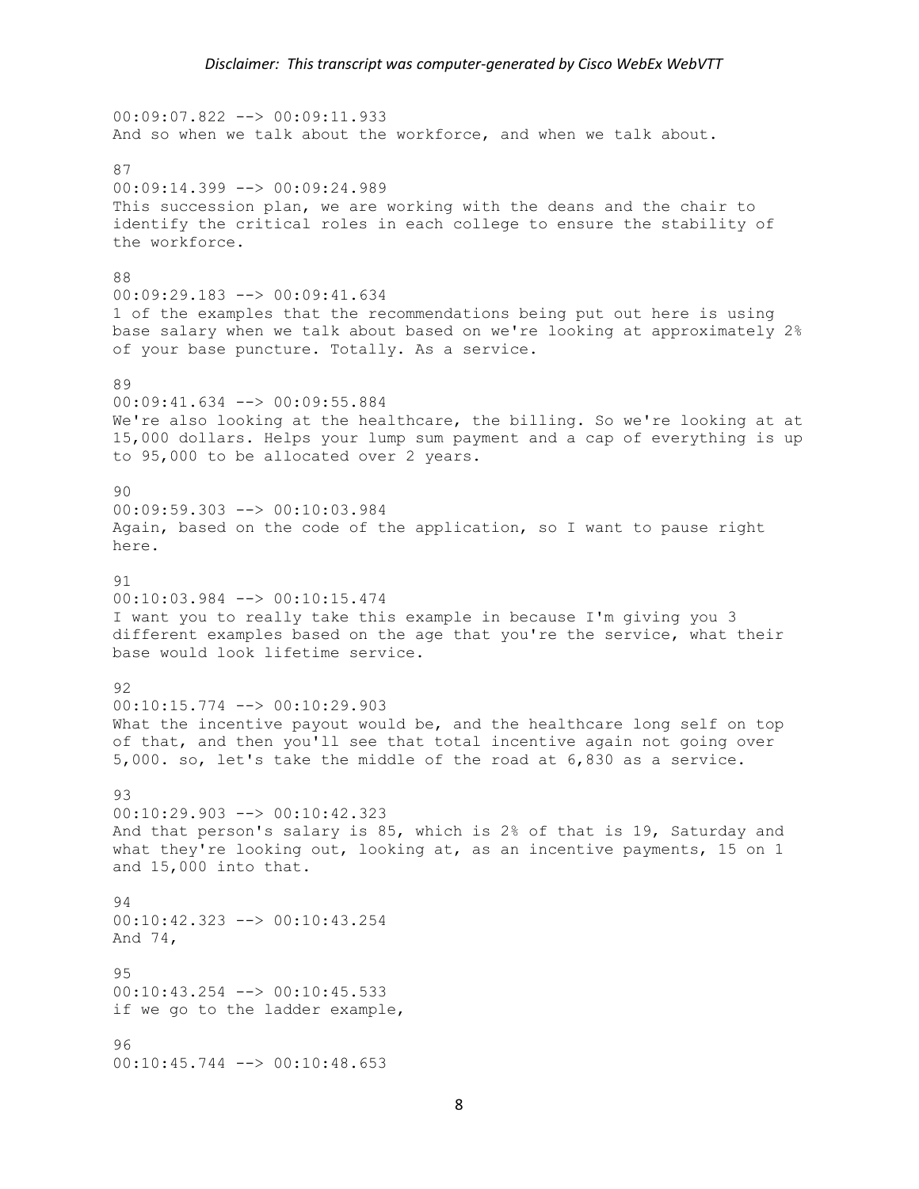00:09:07.822 --> 00:09:11.933 And so when we talk about the workforce, and when we talk about. 87 00:09:14.399 --> 00:09:24.989 This succession plan, we are working with the deans and the chair to identify the critical roles in each college to ensure the stability of the workforce. 88 00:09:29.183 --> 00:09:41.634 1 of the examples that the recommendations being put out here is using base salary when we talk about based on we're looking at approximately 2% of your base puncture. Totally. As a service. 89 00:09:41.634 --> 00:09:55.884 We're also looking at the healthcare, the billing. So we're looking at at 15,000 dollars. Helps your lump sum payment and a cap of everything is up to 95,000 to be allocated over 2 years. 90 00:09:59.303 --> 00:10:03.984 Again, based on the code of the application, so I want to pause right here. 91 00:10:03.984 --> 00:10:15.474 I want you to really take this example in because I'm giving you 3 different examples based on the age that you're the service, what their base would look lifetime service. 92  $00:10:15.774$   $\leftarrow$   $>$  00:10:29.903 What the incentive payout would be, and the healthcare long self on top of that, and then you'll see that total incentive again not going over 5,000. so, let's take the middle of the road at 6,830 as a service. 93 00:10:29.903 --> 00:10:42.323 And that person's salary is 85, which is 2% of that is 19, Saturday and what they're looking out, looking at, as an incentive payments, 15 on 1 and 15,000 into that. 94 00:10:42.323 --> 00:10:43.254 And 74,  $QF$ 00:10:43.254 --> 00:10:45.533 if we go to the ladder example, 96 00:10:45.744 --> 00:10:48.653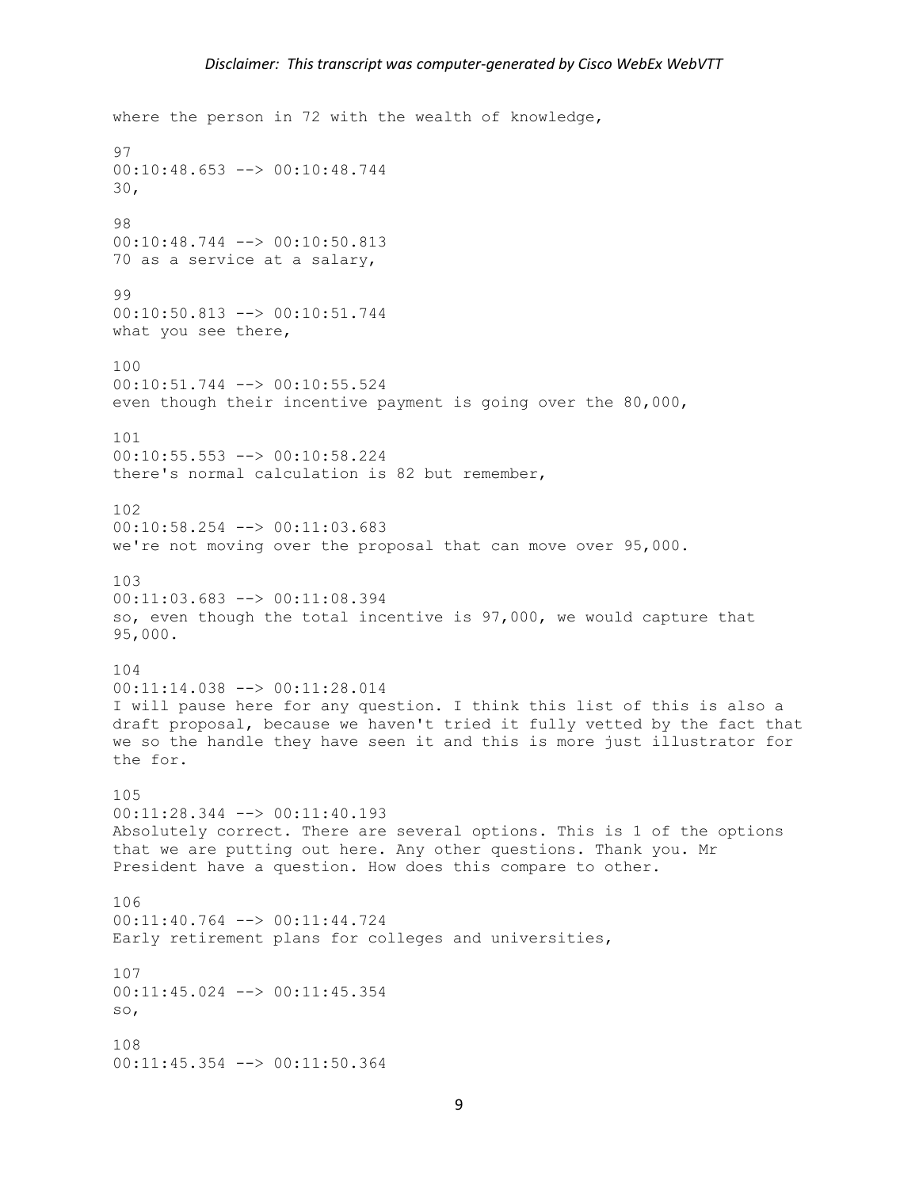```
where the person in 72 with the wealth of knowledge,
97
00:10:48.653 --> 00:10:48.744
30,
98
00:10:48.744 --> 00:10:50.813
70 as a service at a salary,
99
00:10:50.813 --> 00:10:51.744
what you see there,
100
00:10:51.744 --> 00:10:55.524
even though their incentive payment is going over the 80,000,
101
00:10:55.553 --> 00:10:58.224
there's normal calculation is 82 but remember,
102
00:10:58.254 --> 00:11:03.683
we're not moving over the proposal that can move over 95,000.
103
00:11:03.683 --> 00:11:08.394
so, even though the total incentive is 97,000, we would capture that 
95,000.
104
00:11:14.038 --> 00:11:28.014
I will pause here for any question. I think this list of this is also a 
draft proposal, because we haven't tried it fully vetted by the fact that 
we so the handle they have seen it and this is more just illustrator for 
the for.
105
00:11:28.344 --> 00:11:40.193
Absolutely correct. There are several options. This is 1 of the options 
that we are putting out here. Any other questions. Thank you. Mr 
President have a question. How does this compare to other.
106
00:11:40.764 --> 00:11:44.724
Early retirement plans for colleges and universities,
107
00:11:45.024 --> 00:11:45.354
so,
108
00:11:45.354 --> 00:11:50.364
```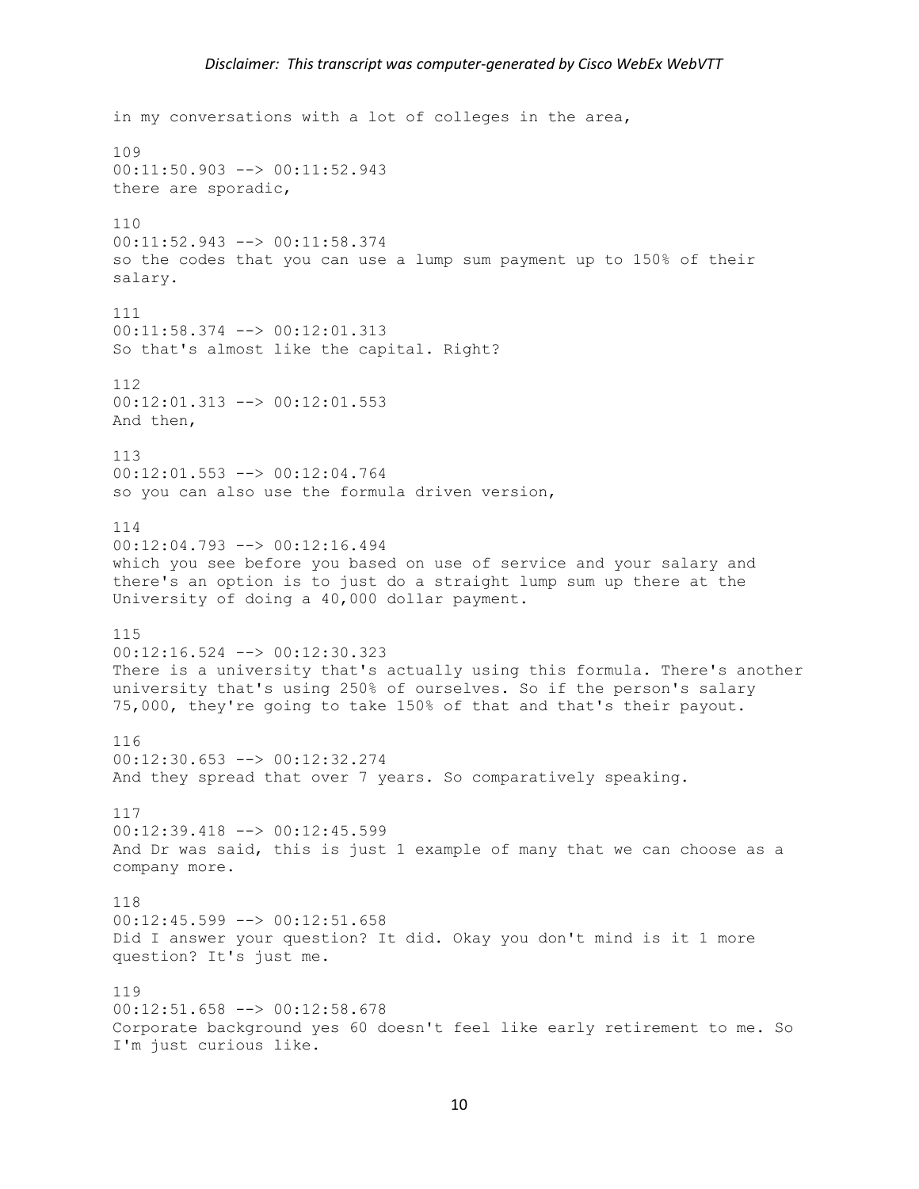```
in my conversations with a lot of colleges in the area,
109
00:11:50.903 --> 00:11:52.943
there are sporadic,
110
00:11:52.943 --> 00:11:58.374
so the codes that you can use a lump sum payment up to 150% of their 
salary.
111
00:11:58.374 --> 00:12:01.313
So that's almost like the capital. Right?
112
00:12:01.313 --> 00:12:01.553
And then,
113
00:12:01.553 --> 00:12:04.764
so you can also use the formula driven version,
114
00:12:04.793 --> 00:12:16.494
which you see before you based on use of service and your salary and 
there's an option is to just do a straight lump sum up there at the 
University of doing a 40,000 dollar payment.
115
00:12:16.524 --> 00:12:30.323
There is a university that's actually using this formula. There's another 
university that's using 250% of ourselves. So if the person's salary 
75,000, they're going to take 150% of that and that's their payout.
116
00:12:30.653 --> 00:12:32.274
And they spread that over 7 years. So comparatively speaking.
117
00:12:39.418 --> 00:12:45.599
And Dr was said, this is just 1 example of many that we can choose as a 
company more.
118
00:12:45.599 --> 00:12:51.658
Did I answer your question? It did. Okay you don't mind is it 1 more 
question? It's just me.
119
00:12:51.658 --> 00:12:58.678
Corporate background yes 60 doesn't feel like early retirement to me. So 
I'm just curious like.
```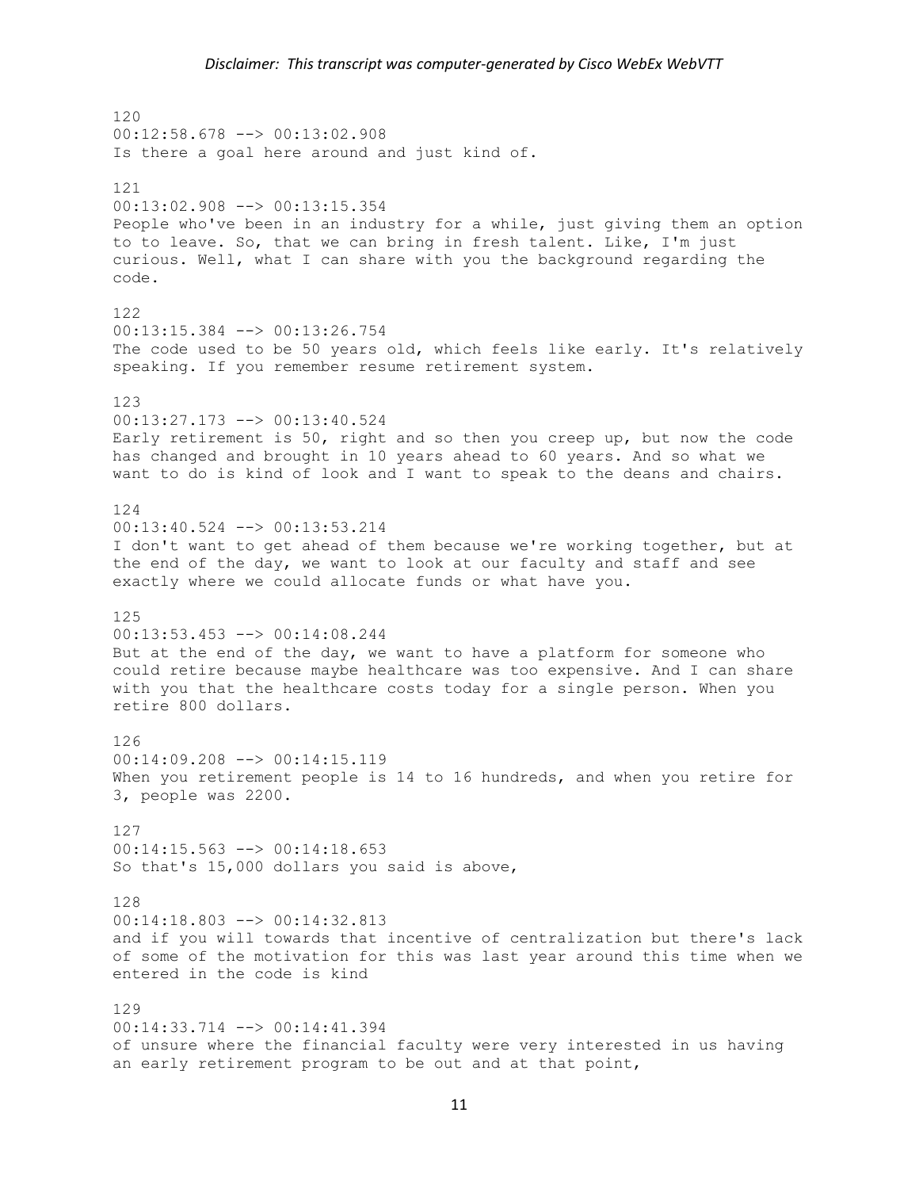120 00:12:58.678 --> 00:13:02.908 Is there a goal here around and just kind of. 121 00:13:02.908 --> 00:13:15.354 People who've been in an industry for a while, just giving them an option to to leave. So, that we can bring in fresh talent. Like, I'm just curious. Well, what I can share with you the background regarding the code. 122 00:13:15.384 --> 00:13:26.754 The code used to be 50 years old, which feels like early. It's relatively speaking. If you remember resume retirement system. 123 00:13:27.173 --> 00:13:40.524 Early retirement is 50, right and so then you creep up, but now the code has changed and brought in 10 years ahead to 60 years. And so what we want to do is kind of look and I want to speak to the deans and chairs. 124 00:13:40.524 --> 00:13:53.214 I don't want to get ahead of them because we're working together, but at the end of the day, we want to look at our faculty and staff and see exactly where we could allocate funds or what have you. 125 00:13:53.453 --> 00:14:08.244 But at the end of the day, we want to have a platform for someone who could retire because maybe healthcare was too expensive. And I can share with you that the healthcare costs today for a single person. When you retire 800 dollars. 126 00:14:09.208 --> 00:14:15.119 When you retirement people is 14 to 16 hundreds, and when you retire for 3, people was 2200. 127 00:14:15.563 --> 00:14:18.653 So that's 15,000 dollars you said is above, 128 00:14:18.803 --> 00:14:32.813 and if you will towards that incentive of centralization but there's lack of some of the motivation for this was last year around this time when we entered in the code is kind 129 00:14:33.714 --> 00:14:41.394 of unsure where the financial faculty were very interested in us having an early retirement program to be out and at that point,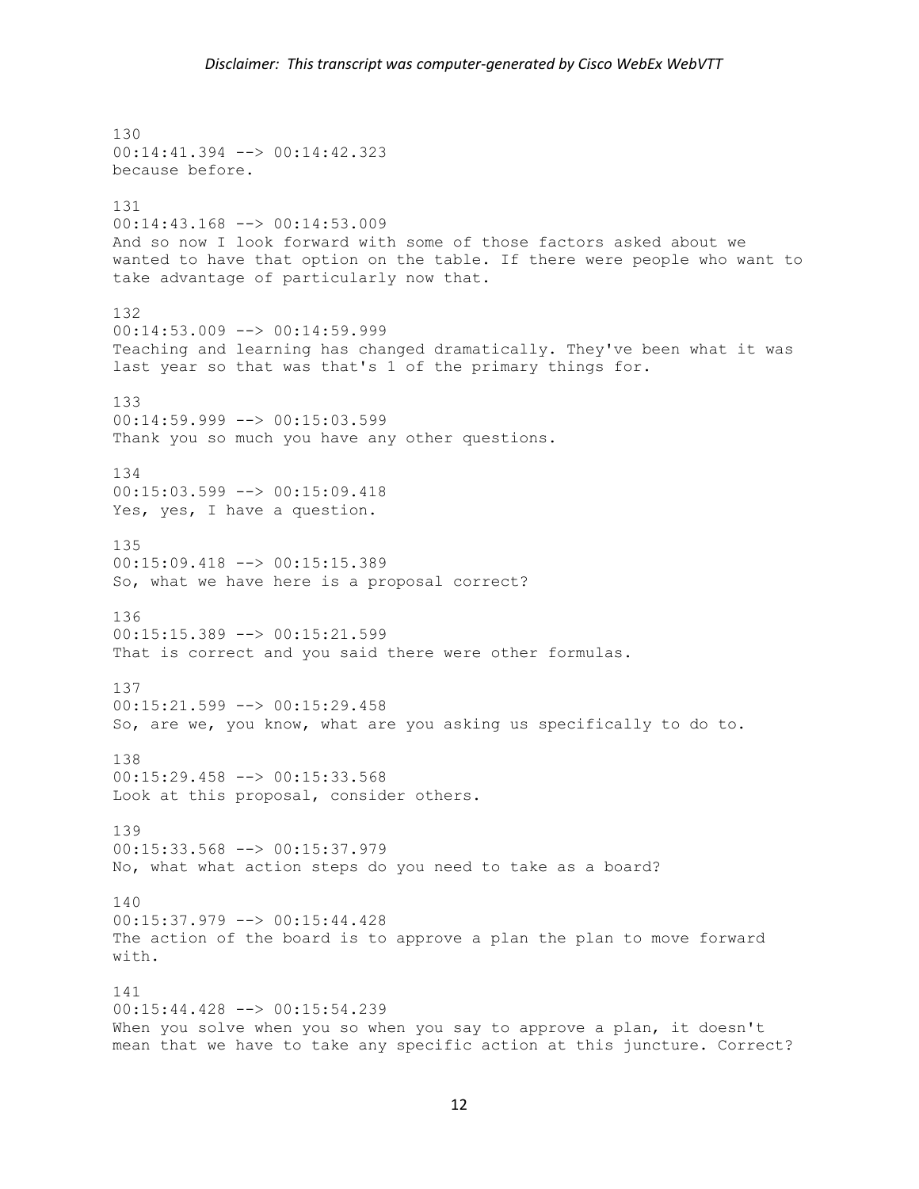130 00:14:41.394 --> 00:14:42.323 because before. 131 00:14:43.168 --> 00:14:53.009 And so now I look forward with some of those factors asked about we wanted to have that option on the table. If there were people who want to take advantage of particularly now that. 132  $00:14:53.009$  -->  $00:14:59.999$ Teaching and learning has changed dramatically. They've been what it was last year so that was that's 1 of the primary things for. 133  $00:14:59.999$  -->  $00:15:03.599$ Thank you so much you have any other questions. 134 00:15:03.599 --> 00:15:09.418 Yes, yes, I have a question. 135 00:15:09.418 --> 00:15:15.389 So, what we have here is a proposal correct? 136 00:15:15.389 --> 00:15:21.599 That is correct and you said there were other formulas. 137  $00:15:21.599$  -->  $00:15:29.458$ So, are we, you know, what are you asking us specifically to do to. 138 00:15:29.458 --> 00:15:33.568 Look at this proposal, consider others. 139 00:15:33.568 --> 00:15:37.979 No, what what action steps do you need to take as a board? 140 00:15:37.979 --> 00:15:44.428 The action of the board is to approve a plan the plan to move forward with. 141 00:15:44.428 --> 00:15:54.239 When you solve when you so when you say to approve a plan, it doesn't mean that we have to take any specific action at this juncture. Correct?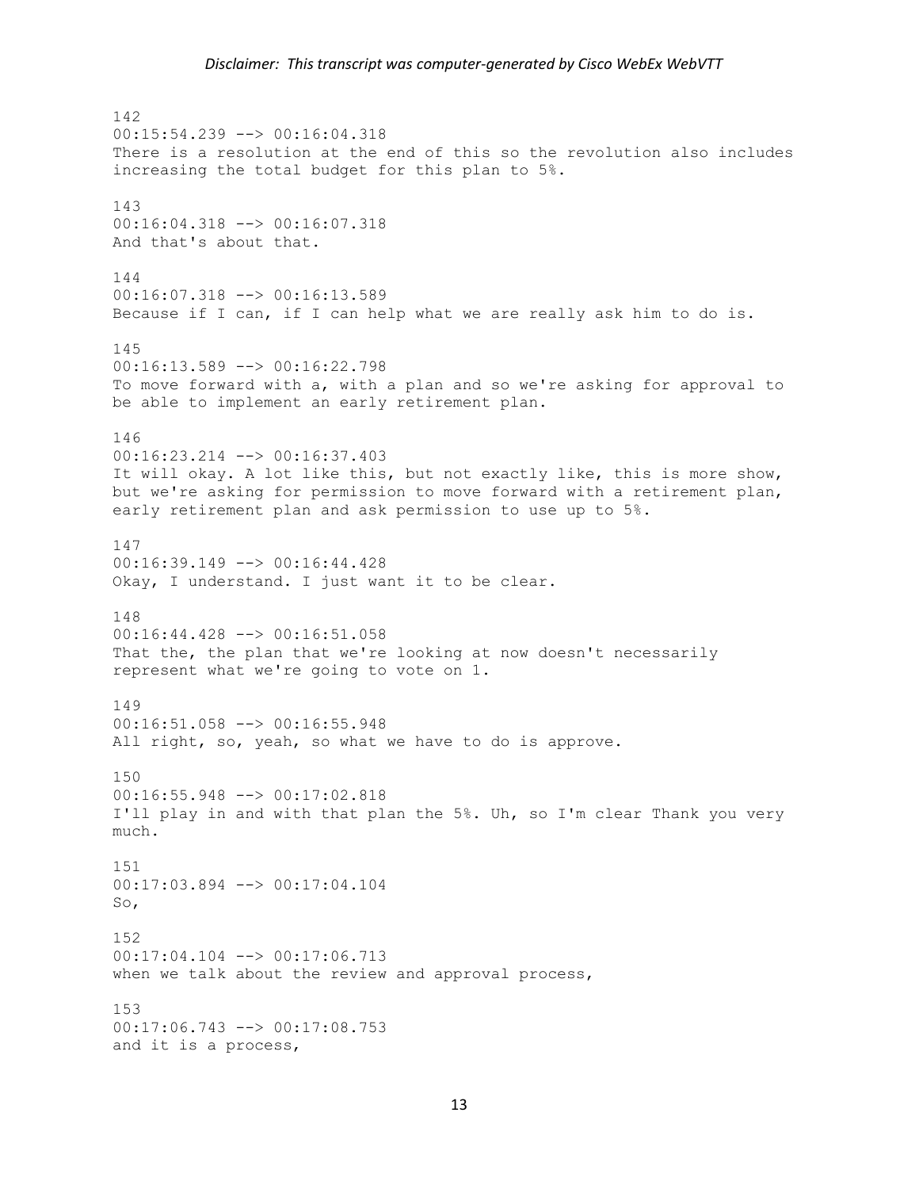## *Disclaimer: This transcript was computer-generated by Cisco WebEx WebVTT*

142 00:15:54.239 --> 00:16:04.318 There is a resolution at the end of this so the revolution also includes increasing the total budget for this plan to 5%. 143 00:16:04.318 --> 00:16:07.318 And that's about that. 144 00:16:07.318 --> 00:16:13.589 Because if I can, if I can help what we are really ask him to do is. 145 00:16:13.589 --> 00:16:22.798 To move forward with a, with a plan and so we're asking for approval to be able to implement an early retirement plan. 146 00:16:23.214 --> 00:16:37.403 It will okay. A lot like this, but not exactly like, this is more show, but we're asking for permission to move forward with a retirement plan, early retirement plan and ask permission to use up to 5%. 147 00:16:39.149 --> 00:16:44.428 Okay, I understand. I just want it to be clear. 148 00:16:44.428 --> 00:16:51.058 That the, the plan that we're looking at now doesn't necessarily represent what we're going to vote on 1. 149 00:16:51.058 --> 00:16:55.948 All right, so, yeah, so what we have to do is approve. 150 00:16:55.948 --> 00:17:02.818 I'll play in and with that plan the 5%. Uh, so I'm clear Thank you very much. 151 00:17:03.894 --> 00:17:04.104 So, 152 00:17:04.104 --> 00:17:06.713 when we talk about the review and approval process, 153 00:17:06.743 --> 00:17:08.753 and it is a process,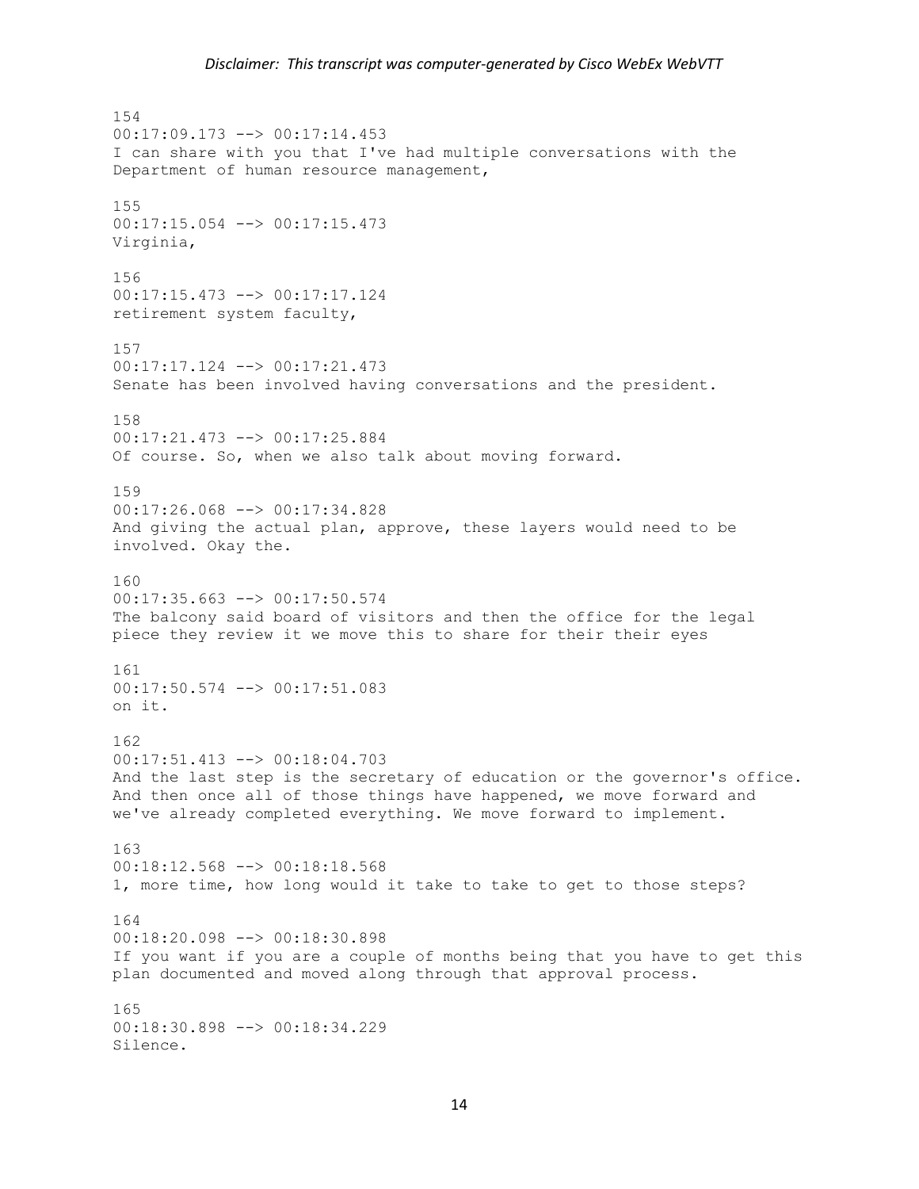154  $00:17:09.173$   $\leftarrow$   $>$  00:17:14.453 I can share with you that I've had multiple conversations with the Department of human resource management, 155 00:17:15.054 --> 00:17:15.473 Virginia, 156 00:17:15.473 --> 00:17:17.124 retirement system faculty, 157 00:17:17.124 --> 00:17:21.473 Senate has been involved having conversations and the president. 158 00:17:21.473 --> 00:17:25.884 Of course. So, when we also talk about moving forward. 159 00:17:26.068 --> 00:17:34.828 And giving the actual plan, approve, these layers would need to be involved. Okay the. 160 00:17:35.663 --> 00:17:50.574 The balcony said board of visitors and then the office for the legal piece they review it we move this to share for their their eyes 161 00:17:50.574 --> 00:17:51.083 on it. 162 00:17:51.413 --> 00:18:04.703 And the last step is the secretary of education or the governor's office. And then once all of those things have happened, we move forward and we've already completed everything. We move forward to implement. 163 00:18:12.568 --> 00:18:18.568 1, more time, how long would it take to take to get to those steps? 164 00:18:20.098 --> 00:18:30.898 If you want if you are a couple of months being that you have to get this plan documented and moved along through that approval process. 165 00:18:30.898 --> 00:18:34.229 Silence.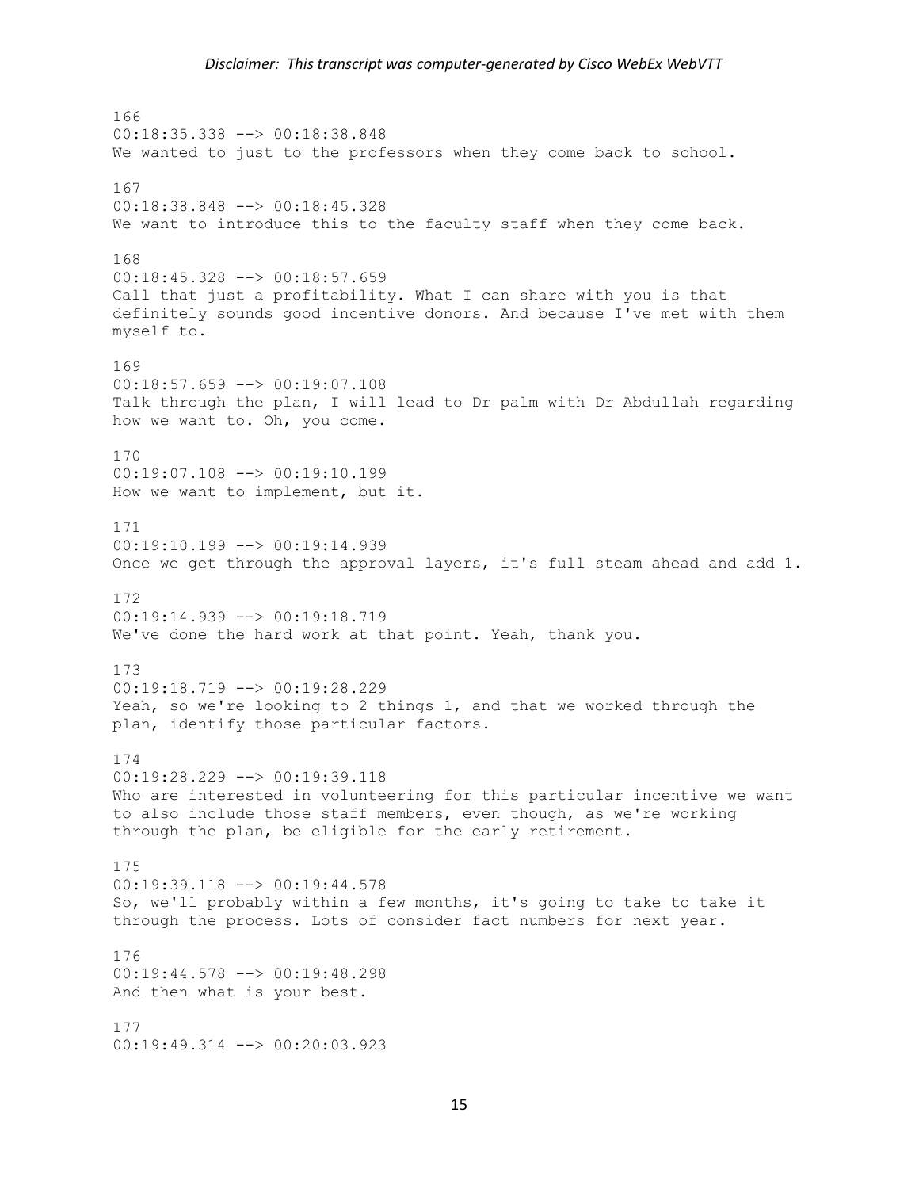## *Disclaimer: This transcript was computer-generated by Cisco WebEx WebVTT*

166 00:18:35.338 --> 00:18:38.848 We wanted to just to the professors when they come back to school. 167 00:18:38.848 --> 00:18:45.328 We want to introduce this to the faculty staff when they come back. 168 00:18:45.328 --> 00:18:57.659 Call that just a profitability. What I can share with you is that definitely sounds good incentive donors. And because I've met with them myself to. 169 00:18:57.659 --> 00:19:07.108 Talk through the plan, I will lead to Dr palm with Dr Abdullah regarding how we want to. Oh, you come. 170 00:19:07.108 --> 00:19:10.199 How we want to implement, but it. 171 00:19:10.199 --> 00:19:14.939 Once we get through the approval layers, it's full steam ahead and add 1. 172 00:19:14.939 --> 00:19:18.719 We've done the hard work at that point. Yeah, thank you. 173 00:19:18.719 --> 00:19:28.229 Yeah, so we're looking to 2 things 1, and that we worked through the plan, identify those particular factors. 174 00:19:28.229 --> 00:19:39.118 Who are interested in volunteering for this particular incentive we want to also include those staff members, even though, as we're working through the plan, be eligible for the early retirement. 175 00:19:39.118 --> 00:19:44.578 So, we'll probably within a few months, it's going to take to take it through the process. Lots of consider fact numbers for next year. 176 00:19:44.578 --> 00:19:48.298 And then what is your best. 177 00:19:49.314 --> 00:20:03.923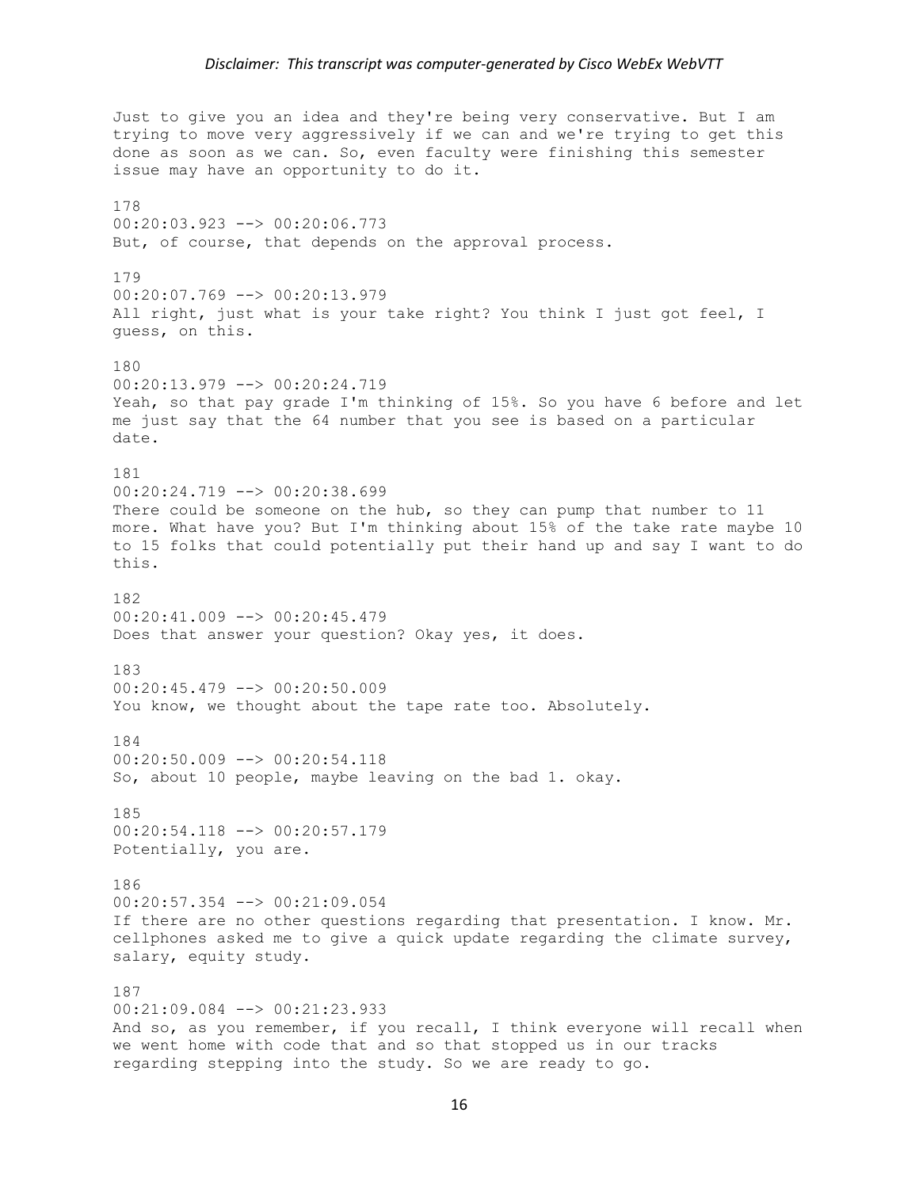Just to give you an idea and they're being very conservative. But I am trying to move very aggressively if we can and we're trying to get this done as soon as we can. So, even faculty were finishing this semester issue may have an opportunity to do it. 178 00:20:03.923 --> 00:20:06.773 But, of course, that depends on the approval process. 179 00:20:07.769 --> 00:20:13.979 All right, just what is your take right? You think I just got feel, I guess, on this. 180 00:20:13.979 --> 00:20:24.719 Yeah, so that pay grade I'm thinking of 15%. So you have 6 before and let me just say that the 64 number that you see is based on a particular date. 181 00:20:24.719 --> 00:20:38.699 There could be someone on the hub, so they can pump that number to 11 more. What have you? But I'm thinking about 15% of the take rate maybe 10 to 15 folks that could potentially put their hand up and say I want to do this. 182 00:20:41.009 --> 00:20:45.479 Does that answer your question? Okay yes, it does. 183 00:20:45.479 --> 00:20:50.009 You know, we thought about the tape rate too. Absolutely. 184 00:20:50.009 --> 00:20:54.118 So, about 10 people, maybe leaving on the bad 1. okay. 185 00:20:54.118 --> 00:20:57.179 Potentially, you are. 186 00:20:57.354 --> 00:21:09.054 If there are no other questions regarding that presentation. I know. Mr. cellphones asked me to give a quick update regarding the climate survey, salary, equity study. 187 00:21:09.084 --> 00:21:23.933 And so, as you remember, if you recall, I think everyone will recall when we went home with code that and so that stopped us in our tracks regarding stepping into the study. So we are ready to go.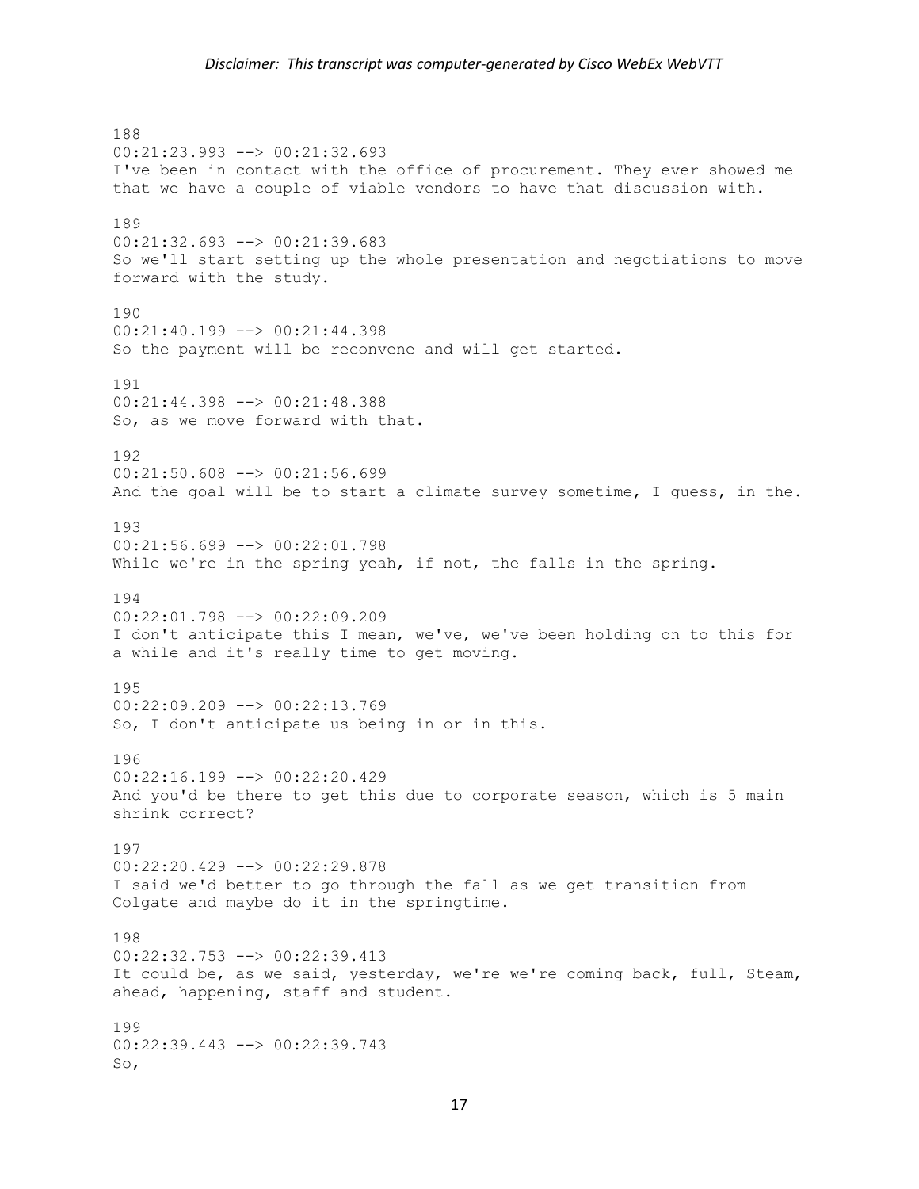## *Disclaimer: This transcript was computer-generated by Cisco WebEx WebVTT*

188 00:21:23.993 --> 00:21:32.693 I've been in contact with the office of procurement. They ever showed me that we have a couple of viable vendors to have that discussion with. 189 00:21:32.693 --> 00:21:39.683 So we'll start setting up the whole presentation and negotiations to move forward with the study. 190 00:21:40.199 --> 00:21:44.398 So the payment will be reconvene and will get started. 191 00:21:44.398 --> 00:21:48.388 So, as we move forward with that. 192 00:21:50.608 --> 00:21:56.699 And the goal will be to start a climate survey sometime, I guess, in the. 193 00:21:56.699 --> 00:22:01.798 While we're in the spring yeah, if not, the falls in the spring. 194 00:22:01.798 --> 00:22:09.209 I don't anticipate this I mean, we've, we've been holding on to this for a while and it's really time to get moving. 195  $00:22:09.209$  -->  $00:22:13.769$ So, I don't anticipate us being in or in this. 196 00:22:16.199 --> 00:22:20.429 And you'd be there to get this due to corporate season, which is 5 main shrink correct? 197 00:22:20.429 --> 00:22:29.878 I said we'd better to go through the fall as we get transition from Colgate and maybe do it in the springtime. 198 00:22:32.753 --> 00:22:39.413 It could be, as we said, yesterday, we're we're coming back, full, Steam, ahead, happening, staff and student. 199 00:22:39.443 --> 00:22:39.743 So,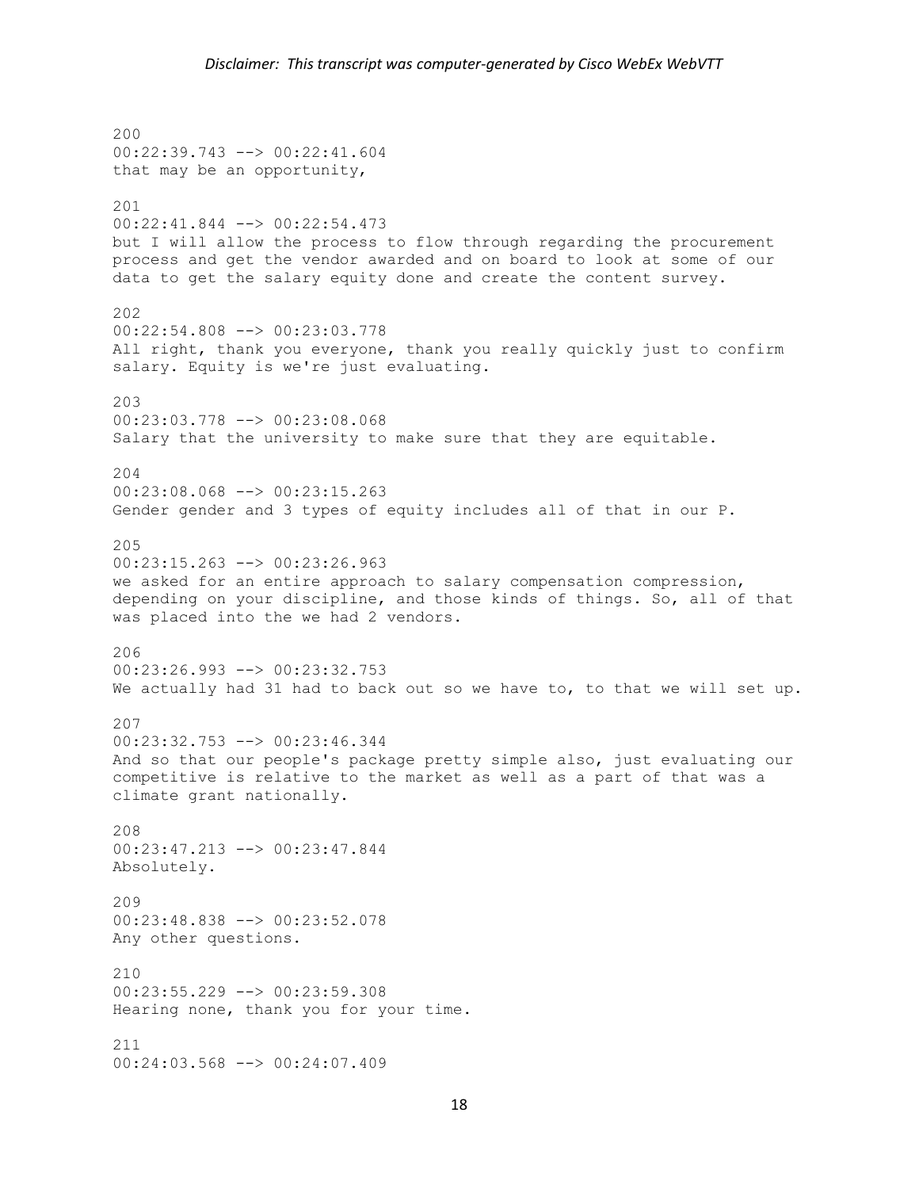200 00:22:39.743 --> 00:22:41.604 that may be an opportunity, 201 00:22:41.844 --> 00:22:54.473 but I will allow the process to flow through regarding the procurement process and get the vendor awarded and on board to look at some of our data to get the salary equity done and create the content survey. 202 00:22:54.808 --> 00:23:03.778 All right, thank you everyone, thank you really quickly just to confirm salary. Equity is we're just evaluating. 203 00:23:03.778 --> 00:23:08.068 Salary that the university to make sure that they are equitable. 204 00:23:08.068 --> 00:23:15.263 Gender gender and 3 types of equity includes all of that in our P. 205 00:23:15.263 --> 00:23:26.963 we asked for an entire approach to salary compensation compression, depending on your discipline, and those kinds of things. So, all of that was placed into the we had 2 vendors. 206 00:23:26.993 --> 00:23:32.753 We actually had 31 had to back out so we have to, to that we will set up. 207 00:23:32.753 --> 00:23:46.344 And so that our people's package pretty simple also, just evaluating our competitive is relative to the market as well as a part of that was a climate grant nationally.  $208$ 00:23:47.213 --> 00:23:47.844 Absolutely. 209 00:23:48.838 --> 00:23:52.078 Any other questions.  $210$  $00:23:55.229$  -->  $00:23:59.308$ Hearing none, thank you for your time. 211 00:24:03.568 --> 00:24:07.409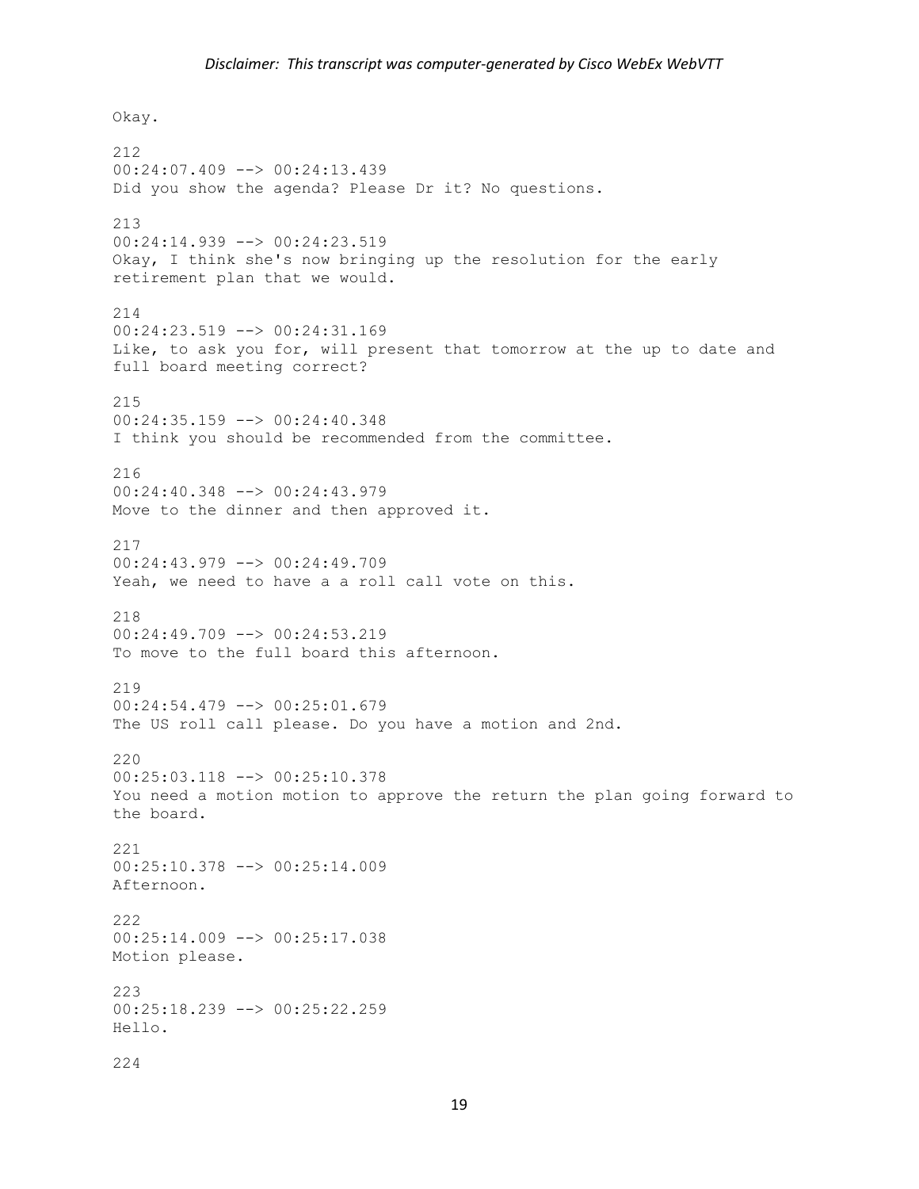Okay. 212 00:24:07.409 --> 00:24:13.439 Did you show the agenda? Please Dr it? No questions. 213 00:24:14.939 --> 00:24:23.519 Okay, I think she's now bringing up the resolution for the early retirement plan that we would. 214 00:24:23.519 --> 00:24:31.169 Like, to ask you for, will present that tomorrow at the up to date and full board meeting correct? 215 00:24:35.159 --> 00:24:40.348 I think you should be recommended from the committee. 216 00:24:40.348 --> 00:24:43.979 Move to the dinner and then approved it. 217 00:24:43.979 --> 00:24:49.709 Yeah, we need to have a a roll call vote on this. 218 00:24:49.709 --> 00:24:53.219 To move to the full board this afternoon. 219  $00:24:54.479$  -->  $00:25:01.679$ The US roll call please. Do you have a motion and 2nd. 220 00:25:03.118 --> 00:25:10.378 You need a motion motion to approve the return the plan going forward to the board. 221 00:25:10.378 --> 00:25:14.009 Afternoon. 222 00:25:14.009 --> 00:25:17.038 Motion please. 223 00:25:18.239 --> 00:25:22.259 Hello. 224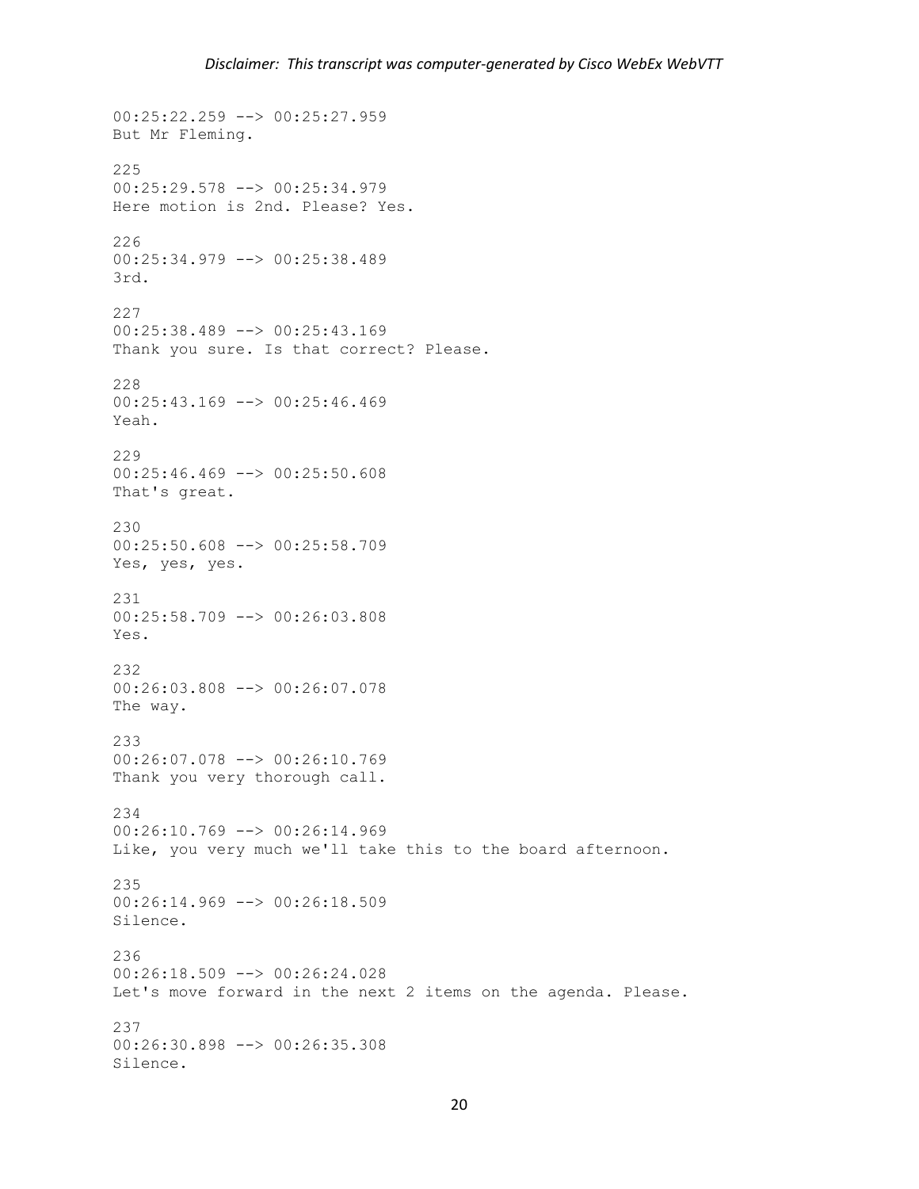```
00:25:22.259 --> 00:25:27.959
But Mr Fleming.
225
00:25:29.578 --> 00:25:34.979
Here motion is 2nd. Please? Yes.
226
00:25:34.979 --> 00:25:38.489
3rd.
227
00:25:38.489 --> 00:25:43.169
Thank you sure. Is that correct? Please.
228
00:25:43.169 --> 00:25:46.469
Yeah.
229
00:25:46.469 --> 00:25:50.608
That's great.
230
00:25:50.608 --> 00:25:58.709
Yes, yes, yes.
231
00:25:58.709 --> 00:26:03.808
Yes.
232
00:26:03.808 --> 00:26:07.078
The way.
233
00:26:07.078 --> 00:26:10.769
Thank you very thorough call.
234
00:26:10.769 --> 00:26:14.969Like, you very much we'll take this to the board afternoon.
235
00:26:14.969 --> 00:26:18.509
Silence.
236
00:26:18.509 --> 00:26:24.028
Let's move forward in the next 2 items on the agenda. Please.
237
00:26:30.898 --> 00:26:35.308
Silence.
```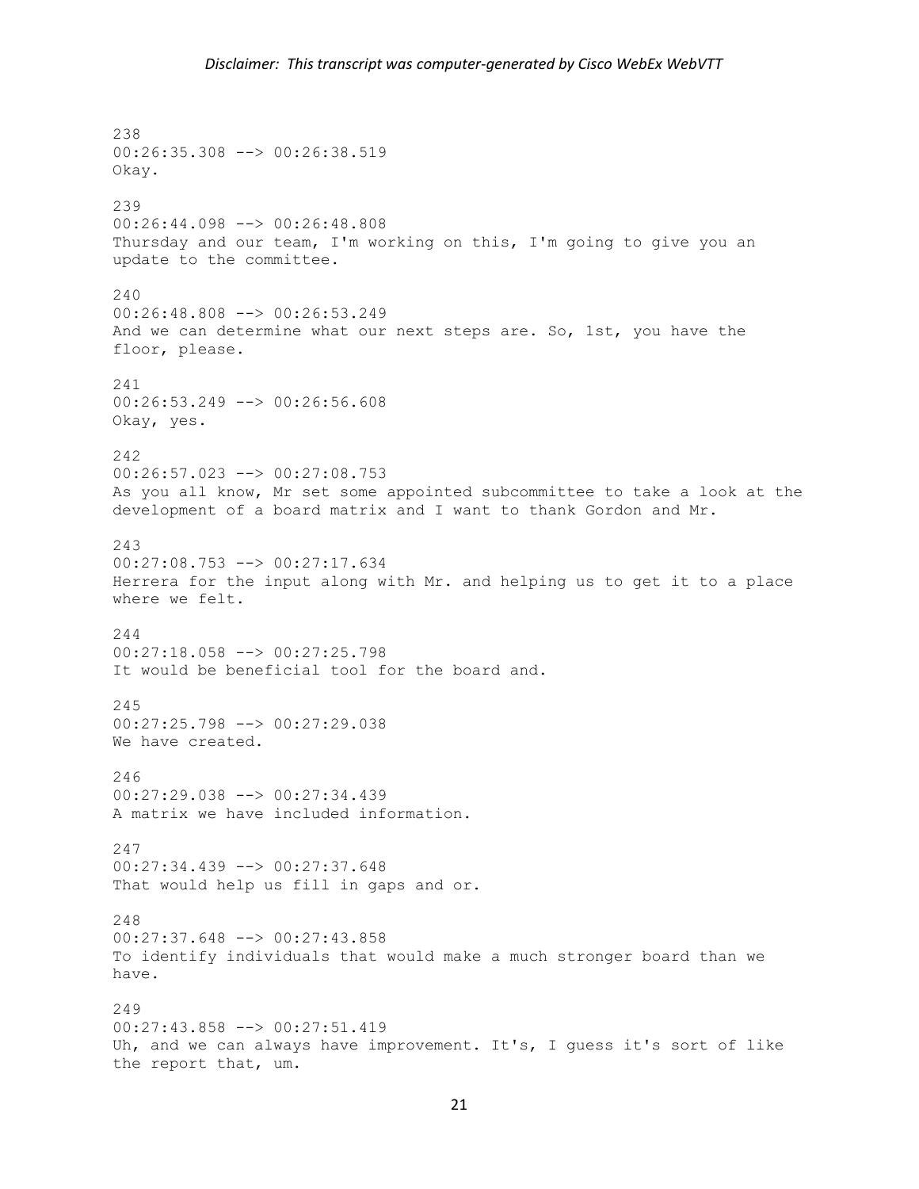238 00:26:35.308 --> 00:26:38.519 Okay. 239 00:26:44.098 --> 00:26:48.808 Thursday and our team, I'm working on this, I'm going to give you an update to the committee. 240 00:26:48.808 --> 00:26:53.249 And we can determine what our next steps are. So, 1st, you have the floor, please. 241 00:26:53.249 --> 00:26:56.608 Okay, yes. 242 00:26:57.023 --> 00:27:08.753 As you all know, Mr set some appointed subcommittee to take a look at the development of a board matrix and I want to thank Gordon and Mr. 243 00:27:08.753 --> 00:27:17.634 Herrera for the input along with Mr. and helping us to get it to a place where we felt. 244 00:27:18.058 --> 00:27:25.798 It would be beneficial tool for the board and. 245 00:27:25.798 --> 00:27:29.038 We have created. 246 00:27:29.038 --> 00:27:34.439 A matrix we have included information. 247 00:27:34.439 --> 00:27:37.648 That would help us fill in gaps and or. 248 00:27:37.648 --> 00:27:43.858 To identify individuals that would make a much stronger board than we have. 249 00:27:43.858 --> 00:27:51.419 Uh, and we can always have improvement. It's, I guess it's sort of like the report that, um.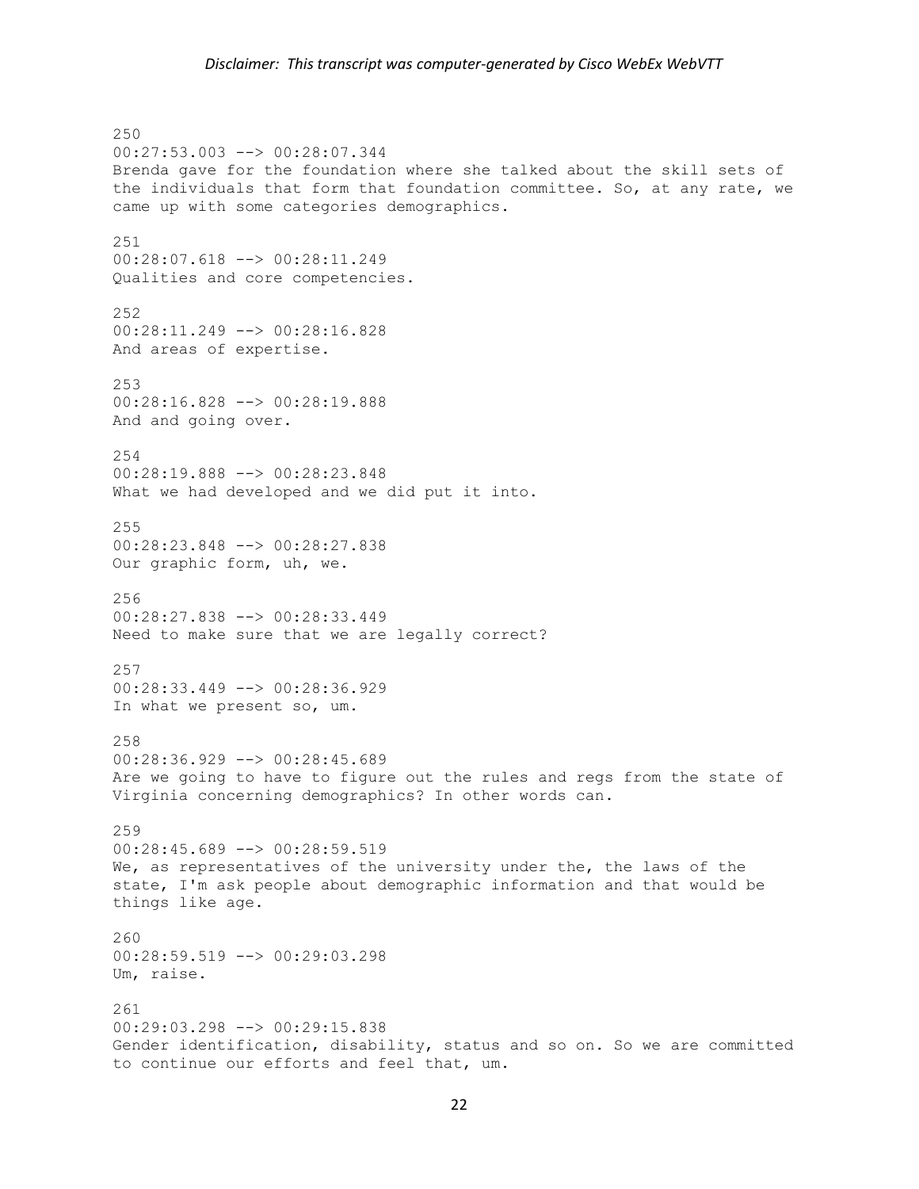250 00:27:53.003 --> 00:28:07.344 Brenda gave for the foundation where she talked about the skill sets of the individuals that form that foundation committee. So, at any rate, we came up with some categories demographics. 251 00:28:07.618 --> 00:28:11.249 Qualities and core competencies. 252 00:28:11.249 --> 00:28:16.828 And areas of expertise. 253 00:28:16.828 --> 00:28:19.888 And and going over. 254 00:28:19.888 --> 00:28:23.848 What we had developed and we did put it into. 255 00:28:23.848 --> 00:28:27.838 Our graphic form, uh, we. 256 00:28:27.838 --> 00:28:33.449 Need to make sure that we are legally correct? 257 00:28:33.449 --> 00:28:36.929 In what we present so, um. 258 00:28:36.929 --> 00:28:45.689 Are we going to have to figure out the rules and regs from the state of Virginia concerning demographics? In other words can. 259 00:28:45.689 --> 00:28:59.519 We, as representatives of the university under the, the laws of the state, I'm ask people about demographic information and that would be things like age. 260 00:28:59.519 --> 00:29:03.298 Um, raise. 261 00:29:03.298 --> 00:29:15.838 Gender identification, disability, status and so on. So we are committed to continue our efforts and feel that, um.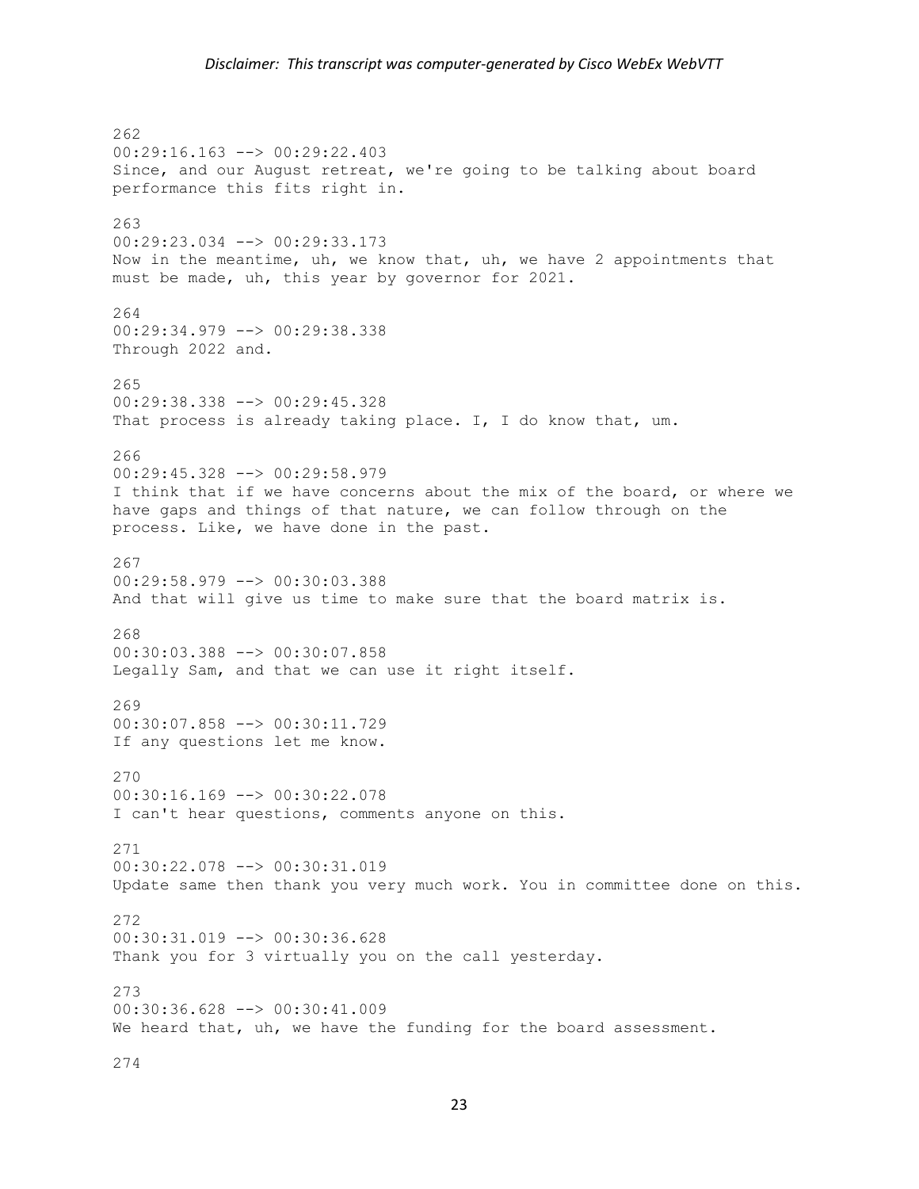262 00:29:16.163 --> 00:29:22.403 Since, and our August retreat, we're going to be talking about board performance this fits right in. 263 00:29:23.034 --> 00:29:33.173 Now in the meantime, uh, we know that, uh, we have 2 appointments that must be made, uh, this year by governor for 2021. 264 00:29:34.979 --> 00:29:38.338 Through 2022 and. 265 00:29:38.338 --> 00:29:45.328 That process is already taking place. I, I do know that, um. 266 00:29:45.328 --> 00:29:58.979 I think that if we have concerns about the mix of the board, or where we have gaps and things of that nature, we can follow through on the process. Like, we have done in the past. 267 00:29:58.979 --> 00:30:03.388 And that will give us time to make sure that the board matrix is. 268 00:30:03.388 --> 00:30:07.858 Legally Sam, and that we can use it right itself. 269 00:30:07.858 --> 00:30:11.729 If any questions let me know. 270 00:30:16.169 --> 00:30:22.078 I can't hear questions, comments anyone on this. 271 00:30:22.078 --> 00:30:31.019 Update same then thank you very much work. You in committee done on this. 272 00:30:31.019 --> 00:30:36.628 Thank you for 3 virtually you on the call yesterday. 273 00:30:36.628 --> 00:30:41.009 We heard that, uh, we have the funding for the board assessment.

274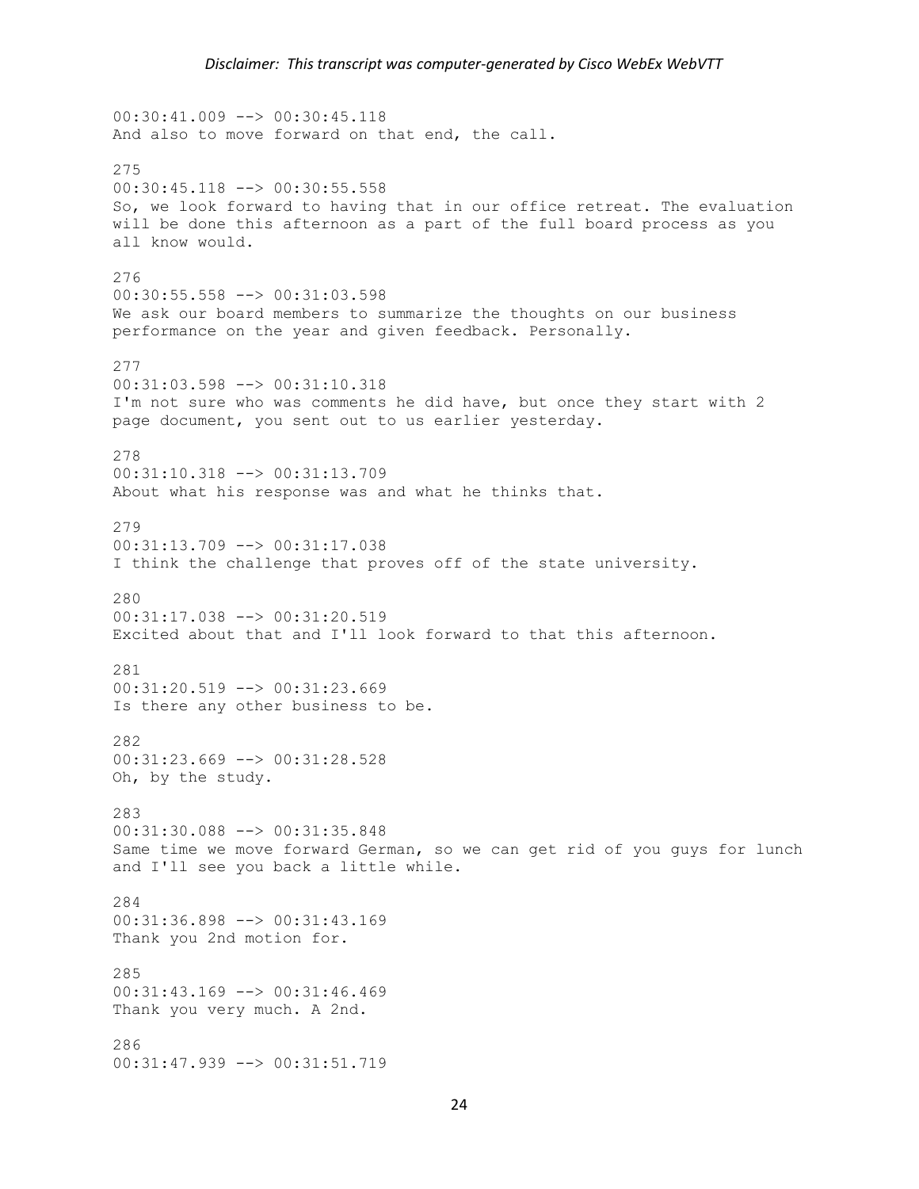00:30:41.009 --> 00:30:45.118 And also to move forward on that end, the call. 275 00:30:45.118 --> 00:30:55.558 So, we look forward to having that in our office retreat. The evaluation will be done this afternoon as a part of the full board process as you all know would. 276 00:30:55.558 --> 00:31:03.598 We ask our board members to summarize the thoughts on our business performance on the year and given feedback. Personally. 277 00:31:03.598 --> 00:31:10.318 I'm not sure who was comments he did have, but once they start with 2 page document, you sent out to us earlier yesterday. 278 00:31:10.318 --> 00:31:13.709 About what his response was and what he thinks that. 279 00:31:13.709 --> 00:31:17.038 I think the challenge that proves off of the state university. 280 00:31:17.038 --> 00:31:20.519 Excited about that and I'll look forward to that this afternoon. 281 00:31:20.519 --> 00:31:23.669 Is there any other business to be. 282 00:31:23.669 --> 00:31:28.528 Oh, by the study. 283 00:31:30.088 --> 00:31:35.848 Same time we move forward German, so we can get rid of you guys for lunch and I'll see you back a little while. 284 00:31:36.898 --> 00:31:43.169 Thank you 2nd motion for. 285 00:31:43.169 --> 00:31:46.469 Thank you very much. A 2nd. 286 00:31:47.939 --> 00:31:51.719